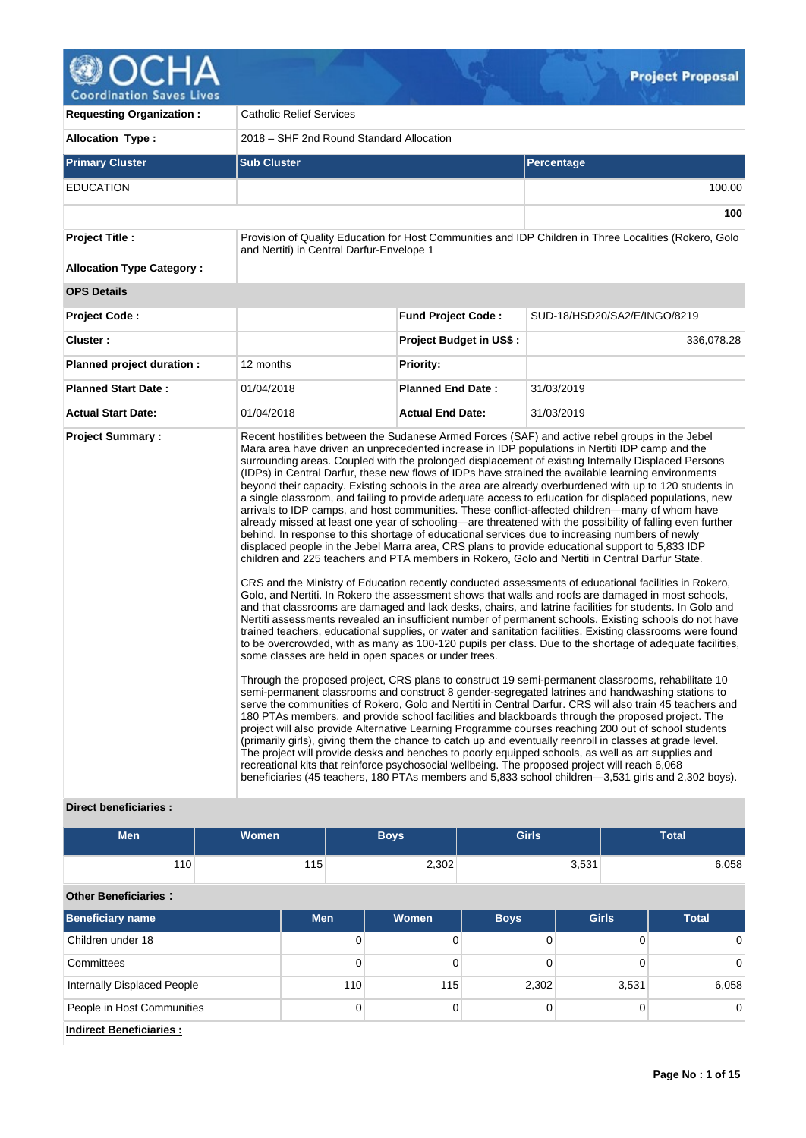

| <b>Requesting Organization:</b>  | <b>Catholic Relief Services</b>                      |                                |                                                                                                                                                                                                                                                                                                                                                                                                                                                                                                                                                                                                                                                                                                                                                                                                                                                                                                                                                                                                                                                                                                                                                                                                                                                                                                                                                                                                                                                                                                                                                                                                                                                                                                                                                                                                                                                                                                                                                                                                                                                                                                                                                                                                                                                                                                                                                                                                                                                                                                                                                                                                                                                                                                                                                                                            |  |  |  |  |  |
|----------------------------------|------------------------------------------------------|--------------------------------|--------------------------------------------------------------------------------------------------------------------------------------------------------------------------------------------------------------------------------------------------------------------------------------------------------------------------------------------------------------------------------------------------------------------------------------------------------------------------------------------------------------------------------------------------------------------------------------------------------------------------------------------------------------------------------------------------------------------------------------------------------------------------------------------------------------------------------------------------------------------------------------------------------------------------------------------------------------------------------------------------------------------------------------------------------------------------------------------------------------------------------------------------------------------------------------------------------------------------------------------------------------------------------------------------------------------------------------------------------------------------------------------------------------------------------------------------------------------------------------------------------------------------------------------------------------------------------------------------------------------------------------------------------------------------------------------------------------------------------------------------------------------------------------------------------------------------------------------------------------------------------------------------------------------------------------------------------------------------------------------------------------------------------------------------------------------------------------------------------------------------------------------------------------------------------------------------------------------------------------------------------------------------------------------------------------------------------------------------------------------------------------------------------------------------------------------------------------------------------------------------------------------------------------------------------------------------------------------------------------------------------------------------------------------------------------------------------------------------------------------------------------------------------------------|--|--|--|--|--|
| <b>Allocation Type:</b>          | 2018 - SHF 2nd Round Standard Allocation             |                                |                                                                                                                                                                                                                                                                                                                                                                                                                                                                                                                                                                                                                                                                                                                                                                                                                                                                                                                                                                                                                                                                                                                                                                                                                                                                                                                                                                                                                                                                                                                                                                                                                                                                                                                                                                                                                                                                                                                                                                                                                                                                                                                                                                                                                                                                                                                                                                                                                                                                                                                                                                                                                                                                                                                                                                                            |  |  |  |  |  |
| <b>Primary Cluster</b>           | <b>Sub Cluster</b>                                   |                                | <b>Percentage</b>                                                                                                                                                                                                                                                                                                                                                                                                                                                                                                                                                                                                                                                                                                                                                                                                                                                                                                                                                                                                                                                                                                                                                                                                                                                                                                                                                                                                                                                                                                                                                                                                                                                                                                                                                                                                                                                                                                                                                                                                                                                                                                                                                                                                                                                                                                                                                                                                                                                                                                                                                                                                                                                                                                                                                                          |  |  |  |  |  |
| <b>EDUCATION</b>                 |                                                      |                                | 100.00                                                                                                                                                                                                                                                                                                                                                                                                                                                                                                                                                                                                                                                                                                                                                                                                                                                                                                                                                                                                                                                                                                                                                                                                                                                                                                                                                                                                                                                                                                                                                                                                                                                                                                                                                                                                                                                                                                                                                                                                                                                                                                                                                                                                                                                                                                                                                                                                                                                                                                                                                                                                                                                                                                                                                                                     |  |  |  |  |  |
|                                  |                                                      |                                | 100                                                                                                                                                                                                                                                                                                                                                                                                                                                                                                                                                                                                                                                                                                                                                                                                                                                                                                                                                                                                                                                                                                                                                                                                                                                                                                                                                                                                                                                                                                                                                                                                                                                                                                                                                                                                                                                                                                                                                                                                                                                                                                                                                                                                                                                                                                                                                                                                                                                                                                                                                                                                                                                                                                                                                                                        |  |  |  |  |  |
| <b>Project Title:</b>            | and Nertiti) in Central Darfur-Envelope 1            |                                | Provision of Quality Education for Host Communities and IDP Children in Three Localities (Rokero, Golo                                                                                                                                                                                                                                                                                                                                                                                                                                                                                                                                                                                                                                                                                                                                                                                                                                                                                                                                                                                                                                                                                                                                                                                                                                                                                                                                                                                                                                                                                                                                                                                                                                                                                                                                                                                                                                                                                                                                                                                                                                                                                                                                                                                                                                                                                                                                                                                                                                                                                                                                                                                                                                                                                     |  |  |  |  |  |
| <b>Allocation Type Category:</b> |                                                      |                                |                                                                                                                                                                                                                                                                                                                                                                                                                                                                                                                                                                                                                                                                                                                                                                                                                                                                                                                                                                                                                                                                                                                                                                                                                                                                                                                                                                                                                                                                                                                                                                                                                                                                                                                                                                                                                                                                                                                                                                                                                                                                                                                                                                                                                                                                                                                                                                                                                                                                                                                                                                                                                                                                                                                                                                                            |  |  |  |  |  |
| <b>OPS Details</b>               |                                                      |                                |                                                                                                                                                                                                                                                                                                                                                                                                                                                                                                                                                                                                                                                                                                                                                                                                                                                                                                                                                                                                                                                                                                                                                                                                                                                                                                                                                                                                                                                                                                                                                                                                                                                                                                                                                                                                                                                                                                                                                                                                                                                                                                                                                                                                                                                                                                                                                                                                                                                                                                                                                                                                                                                                                                                                                                                            |  |  |  |  |  |
| <b>Project Code:</b>             |                                                      | <b>Fund Project Code:</b>      | SUD-18/HSD20/SA2/E/INGO/8219                                                                                                                                                                                                                                                                                                                                                                                                                                                                                                                                                                                                                                                                                                                                                                                                                                                                                                                                                                                                                                                                                                                                                                                                                                                                                                                                                                                                                                                                                                                                                                                                                                                                                                                                                                                                                                                                                                                                                                                                                                                                                                                                                                                                                                                                                                                                                                                                                                                                                                                                                                                                                                                                                                                                                               |  |  |  |  |  |
| Cluster:                         |                                                      | <b>Project Budget in US\$:</b> | 336,078.28                                                                                                                                                                                                                                                                                                                                                                                                                                                                                                                                                                                                                                                                                                                                                                                                                                                                                                                                                                                                                                                                                                                                                                                                                                                                                                                                                                                                                                                                                                                                                                                                                                                                                                                                                                                                                                                                                                                                                                                                                                                                                                                                                                                                                                                                                                                                                                                                                                                                                                                                                                                                                                                                                                                                                                                 |  |  |  |  |  |
| Planned project duration :       | 12 months                                            | <b>Priority:</b>               |                                                                                                                                                                                                                                                                                                                                                                                                                                                                                                                                                                                                                                                                                                                                                                                                                                                                                                                                                                                                                                                                                                                                                                                                                                                                                                                                                                                                                                                                                                                                                                                                                                                                                                                                                                                                                                                                                                                                                                                                                                                                                                                                                                                                                                                                                                                                                                                                                                                                                                                                                                                                                                                                                                                                                                                            |  |  |  |  |  |
| <b>Planned Start Date:</b>       | 01/04/2018                                           | <b>Planned End Date:</b>       | 31/03/2019                                                                                                                                                                                                                                                                                                                                                                                                                                                                                                                                                                                                                                                                                                                                                                                                                                                                                                                                                                                                                                                                                                                                                                                                                                                                                                                                                                                                                                                                                                                                                                                                                                                                                                                                                                                                                                                                                                                                                                                                                                                                                                                                                                                                                                                                                                                                                                                                                                                                                                                                                                                                                                                                                                                                                                                 |  |  |  |  |  |
| <b>Actual Start Date:</b>        | 01/04/2018                                           | <b>Actual End Date:</b>        | 31/03/2019                                                                                                                                                                                                                                                                                                                                                                                                                                                                                                                                                                                                                                                                                                                                                                                                                                                                                                                                                                                                                                                                                                                                                                                                                                                                                                                                                                                                                                                                                                                                                                                                                                                                                                                                                                                                                                                                                                                                                                                                                                                                                                                                                                                                                                                                                                                                                                                                                                                                                                                                                                                                                                                                                                                                                                                 |  |  |  |  |  |
| <b>Project Summary:</b>          | some classes are held in open spaces or under trees. |                                | Recent hostilities between the Sudanese Armed Forces (SAF) and active rebel groups in the Jebel<br>Mara area have driven an unprecedented increase in IDP populations in Nertiti IDP camp and the<br>surrounding areas. Coupled with the prolonged displacement of existing Internally Displaced Persons<br>(IDPs) in Central Darfur, these new flows of IDPs have strained the available learning environments<br>beyond their capacity. Existing schools in the area are already overburdened with up to 120 students in<br>a single classroom, and failing to provide adequate access to education for displaced populations, new<br>arrivals to IDP camps, and host communities. These conflict-affected children—many of whom have<br>already missed at least one year of schooling—are threatened with the possibility of falling even further<br>behind. In response to this shortage of educational services due to increasing numbers of newly<br>displaced people in the Jebel Marra area, CRS plans to provide educational support to 5,833 IDP<br>children and 225 teachers and PTA members in Rokero, Golo and Nertiti in Central Darfur State.<br>CRS and the Ministry of Education recently conducted assessments of educational facilities in Rokero,<br>Golo, and Nertiti. In Rokero the assessment shows that walls and roofs are damaged in most schools,<br>and that classrooms are damaged and lack desks, chairs, and latrine facilities for students. In Golo and<br>Nertiti assessments revealed an insufficient number of permanent schools. Existing schools do not have<br>trained teachers, educational supplies, or water and sanitation facilities. Existing classrooms were found<br>to be overcrowded, with as many as 100-120 pupils per class. Due to the shortage of adequate facilities,<br>Through the proposed project, CRS plans to construct 19 semi-permanent classrooms, rehabilitate 10<br>semi-permanent classrooms and construct 8 gender-segregated latrines and handwashing stations to<br>serve the communities of Rokero, Golo and Nertiti in Central Darfur. CRS will also train 45 teachers and<br>180 PTAs members, and provide school facilities and blackboards through the proposed project. The<br>project will also provide Alternative Learning Programme courses reaching 200 out of school students<br>(primarily girls), giving them the chance to catch up and eventually reenroll in classes at grade level.<br>The project will provide desks and benches to poorly equipped schools, as well as art supplies and<br>recreational kits that reinforce psychosocial wellbeing. The proposed project will reach 6,068<br>beneficiaries (45 teachers, 180 PTAs members and 5,833 school children—3,531 girls and 2,302 boys). |  |  |  |  |  |

# **Direct beneficiaries :**

| Men | <b>Women</b> | <b>Boys</b> | <b>Girls</b> | <b>Total</b> |
|-----|--------------|-------------|--------------|--------------|
| 110 | 115          | 2,302       | 3,531        | 6,058        |

# **Other Beneficiaries :**

| <b>Beneficiary name</b>        | <b>Men</b> | <b>Women</b> | <b>Boys</b> | <b>Girls</b> | <b>Total</b>   |
|--------------------------------|------------|--------------|-------------|--------------|----------------|
| Children under 18              | 0          |              |             |              | $\overline{0}$ |
| Committees                     | 0          |              |             |              | $\Omega$       |
| Internally Displaced People    | 110        | 115          | 2,302       | 3,531        | 6,058          |
| People in Host Communities     | 0          |              |             |              | $\Omega$       |
| <b>Indirect Beneficiaries:</b> |            |              |             |              |                |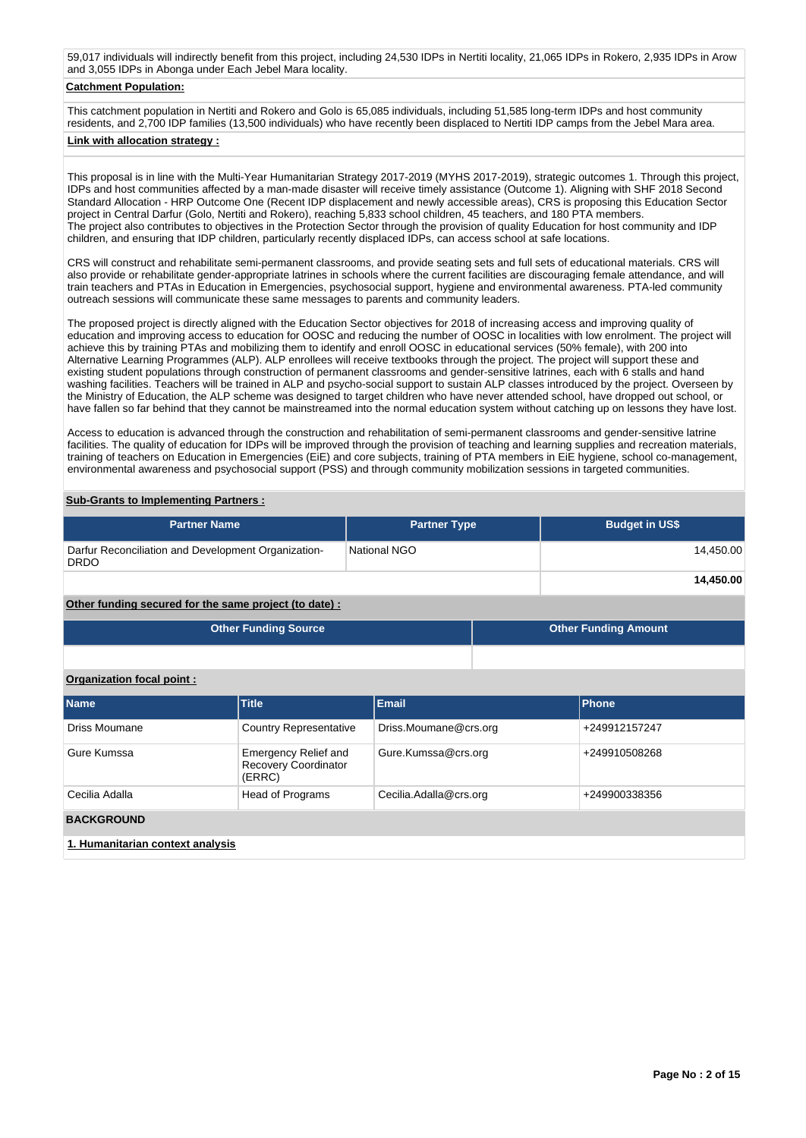59,017 individuals will indirectly benefit from this project, including 24,530 IDPs in Nertiti locality, 21,065 IDPs in Rokero, 2,935 IDPs in Arow and 3,055 IDPs in Abonga under Each Jebel Mara locality.

## **Catchment Population:**

This catchment population in Nertiti and Rokero and Golo is 65,085 individuals, including 51,585 long-term IDPs and host community residents, and 2,700 IDP families (13,500 individuals) who have recently been displaced to Nertiti IDP camps from the Jebel Mara area.

## **Link with allocation strategy :**

This proposal is in line with the Multi-Year Humanitarian Strategy 2017-2019 (MYHS 2017-2019), strategic outcomes 1. Through this project, IDPs and host communities affected by a man-made disaster will receive timely assistance (Outcome 1). Aligning with SHF 2018 Second Standard Allocation - HRP Outcome One (Recent IDP displacement and newly accessible areas), CRS is proposing this Education Sector project in Central Darfur (Golo, Nertiti and Rokero), reaching 5,833 school children, 45 teachers, and 180 PTA members. The project also contributes to objectives in the Protection Sector through the provision of quality Education for host community and IDP children, and ensuring that IDP children, particularly recently displaced IDPs, can access school at safe locations.

CRS will construct and rehabilitate semi-permanent classrooms, and provide seating sets and full sets of educational materials. CRS will also provide or rehabilitate gender-appropriate latrines in schools where the current facilities are discouraging female attendance, and will train teachers and PTAs in Education in Emergencies, psychosocial support, hygiene and environmental awareness. PTA-led community outreach sessions will communicate these same messages to parents and community leaders.

The proposed project is directly aligned with the Education Sector objectives for 2018 of increasing access and improving quality of education and improving access to education for OOSC and reducing the number of OOSC in localities with low enrolment. The project will achieve this by training PTAs and mobilizing them to identify and enroll OOSC in educational services (50% female), with 200 into Alternative Learning Programmes (ALP). ALP enrollees will receive textbooks through the project. The project will support these and existing student populations through construction of permanent classrooms and gender-sensitive latrines, each with 6 stalls and hand washing facilities. Teachers will be trained in ALP and psycho-social support to sustain ALP classes introduced by the project. Overseen by the Ministry of Education, the ALP scheme was designed to target children who have never attended school, have dropped out school, or have fallen so far behind that they cannot be mainstreamed into the normal education system without catching up on lessons they have lost.

Access to education is advanced through the construction and rehabilitation of semi-permanent classrooms and gender-sensitive latrine facilities. The quality of education for IDPs will be improved through the provision of teaching and learning supplies and recreation materials, training of teachers on Education in Emergencies (EiE) and core subjects, training of PTA members in EiE hygiene, school co-management, environmental awareness and psychosocial support (PSS) and through community mobilization sessions in targeted communities.

## **Sub-Grants to Implementing Partners :**

| <b>Partner Name</b>                                                | <b>Partner Type</b> | <b>Budget in US\$</b> |
|--------------------------------------------------------------------|---------------------|-----------------------|
| Darfur Reconciliation and Development Organization-<br><b>DRDO</b> | National NGO        | 14.450.00             |
|                                                                    |                     | 14.450.00             |

**Other funding secured for the same project (to date) :**

| Other Funding Source | <b>Other Funding Amount</b> |
|----------------------|-----------------------------|
|                      |                             |

### **Organization focal point :**

| <b>Name</b>                      | <b>Title</b>                                                  | Email                  | Phone         |
|----------------------------------|---------------------------------------------------------------|------------------------|---------------|
| Driss Moumane                    | <b>Country Representative</b>                                 | Driss.Moumane@crs.org  | +249912157247 |
| Gure Kumssa                      | <b>Emergency Relief and</b><br>Recovery Coordinator<br>(ERRC) | Gure.Kumssa@crs.org    | +249910508268 |
| Cecilia Adalla                   | Head of Programs                                              | Cecilia.Adalla@crs.org | +249900338356 |
| <b>BACKGROUND</b>                |                                                               |                        |               |
| 1. Humanitarian context analysis |                                                               |                        |               |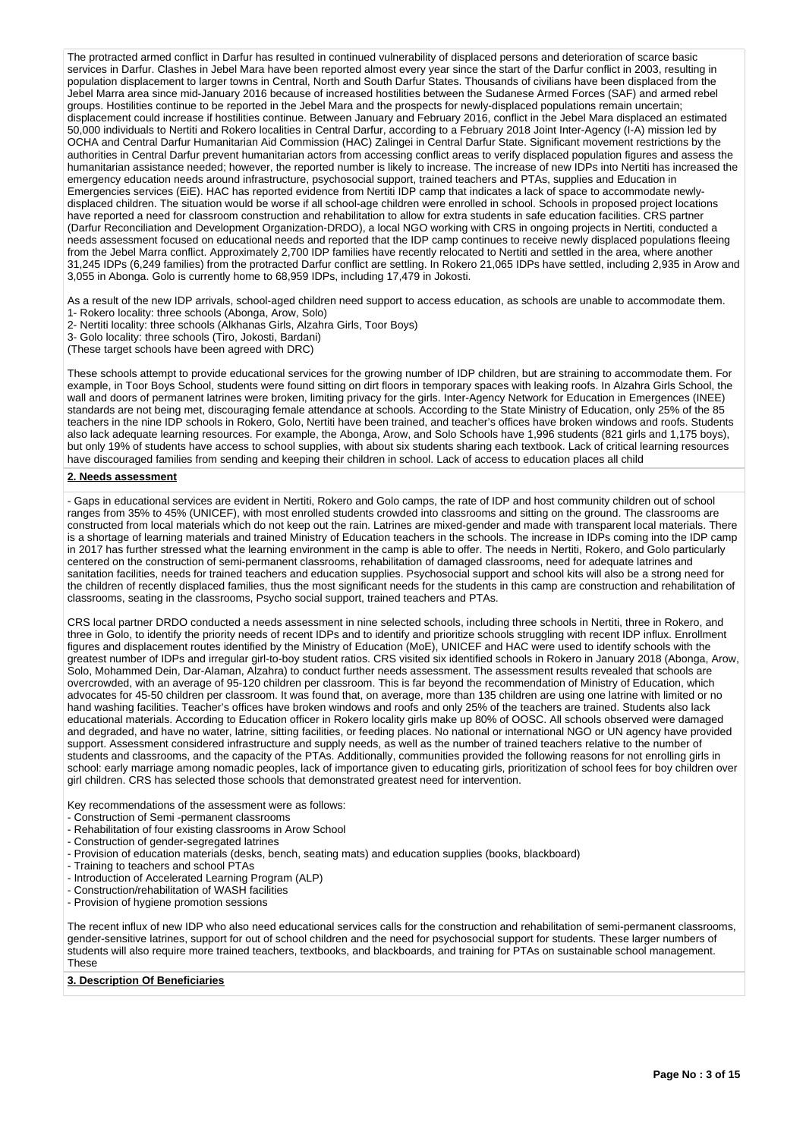The protracted armed conflict in Darfur has resulted in continued vulnerability of displaced persons and deterioration of scarce basic services in Darfur. Clashes in Jebel Mara have been reported almost every year since the start of the Darfur conflict in 2003, resulting in population displacement to larger towns in Central, North and South Darfur States. Thousands of civilians have been displaced from the Jebel Marra area since mid-January 2016 because of increased hostilities between the Sudanese Armed Forces (SAF) and armed rebel groups. Hostilities continue to be reported in the Jebel Mara and the prospects for newly-displaced populations remain uncertain; displacement could increase if hostilities continue. Between January and February 2016, conflict in the Jebel Mara displaced an estimated 50,000 individuals to Nertiti and Rokero localities in Central Darfur, according to a February 2018 Joint Inter-Agency (I-A) mission led by OCHA and Central Darfur Humanitarian Aid Commission (HAC) Zalingei in Central Darfur State. Significant movement restrictions by the authorities in Central Darfur prevent humanitarian actors from accessing conflict areas to verify displaced population figures and assess the humanitarian assistance needed; however, the reported number is likely to increase. The increase of new IDPs into Nertiti has increased the emergency education needs around infrastructure, psychosocial support, trained teachers and PTAs, supplies and Education in Emergencies services (EiE). HAC has reported evidence from Nertiti IDP camp that indicates a lack of space to accommodate newlydisplaced children. The situation would be worse if all school-age children were enrolled in school. Schools in proposed project locations have reported a need for classroom construction and rehabilitation to allow for extra students in safe education facilities. CRS partner (Darfur Reconciliation and Development Organization-DRDO), a local NGO working with CRS in ongoing projects in Nertiti, conducted a needs assessment focused on educational needs and reported that the IDP camp continues to receive newly displaced populations fleeing from the Jebel Marra conflict. Approximately 2,700 IDP families have recently relocated to Nertiti and settled in the area, where another 31,245 IDPs (6,249 families) from the protracted Darfur conflict are settling. In Rokero 21,065 IDPs have settled, including 2,935 in Arow and 3,055 in Abonga. Golo is currently home to 68,959 IDPs, including 17,479 in Jokosti.

As a result of the new IDP arrivals, school-aged children need support to access education, as schools are unable to accommodate them. 1- Rokero locality: three schools (Abonga, Arow, Solo)

- 2- Nertiti locality: three schools (Alkhanas Girls, Alzahra Girls, Toor Boys)
- 3- Golo locality: three schools (Tiro, Jokosti, Bardani)
- (These target schools have been agreed with DRC)

These schools attempt to provide educational services for the growing number of IDP children, but are straining to accommodate them. For example, in Toor Boys School, students were found sitting on dirt floors in temporary spaces with leaking roofs. In Alzahra Girls School, the wall and doors of permanent latrines were broken, limiting privacy for the girls. Inter-Agency Network for Education in Emergences (INEE) standards are not being met, discouraging female attendance at schools. According to the State Ministry of Education, only 25% of the 85 teachers in the nine IDP schools in Rokero, Golo, Nertiti have been trained, and teacher's offices have broken windows and roofs. Students also lack adequate learning resources. For example, the Abonga, Arow, and Solo Schools have 1,996 students (821 girls and 1,175 boys), but only 19% of students have access to school supplies, with about six students sharing each textbook. Lack of critical learning resources have discouraged families from sending and keeping their children in school. Lack of access to education places all child

#### **2. Needs assessment**

- Gaps in educational services are evident in Nertiti, Rokero and Golo camps, the rate of IDP and host community children out of school ranges from 35% to 45% (UNICEF), with most enrolled students crowded into classrooms and sitting on the ground. The classrooms are constructed from local materials which do not keep out the rain. Latrines are mixed-gender and made with transparent local materials. There is a shortage of learning materials and trained Ministry of Education teachers in the schools. The increase in IDPs coming into the IDP camp in 2017 has further stressed what the learning environment in the camp is able to offer. The needs in Nertiti, Rokero, and Golo particularly centered on the construction of semi-permanent classrooms, rehabilitation of damaged classrooms, need for adequate latrines and sanitation facilities, needs for trained teachers and education supplies. Psychosocial support and school kits will also be a strong need for the children of recently displaced families, thus the most significant needs for the students in this camp are construction and rehabilitation of classrooms, seating in the classrooms, Psycho social support, trained teachers and PTAs.

CRS local partner DRDO conducted a needs assessment in nine selected schools, including three schools in Nertiti, three in Rokero, and three in Golo, to identify the priority needs of recent IDPs and to identify and prioritize schools struggling with recent IDP influx. Enrollment figures and displacement routes identified by the Ministry of Education (MoE), UNICEF and HAC were used to identify schools with the greatest number of IDPs and irregular girl-to-boy student ratios. CRS visited six identified schools in Rokero in January 2018 (Abonga, Arow, Solo, Mohammed Dein, Dar-Alaman, Alzahra) to conduct further needs assessment. The assessment results revealed that schools are overcrowded, with an average of 95-120 children per classroom. This is far beyond the recommendation of Ministry of Education, which advocates for 45-50 children per classroom. It was found that, on average, more than 135 children are using one latrine with limited or no hand washing facilities. Teacher's offices have broken windows and roofs and only 25% of the teachers are trained. Students also lack educational materials. According to Education officer in Rokero locality girls make up 80% of OOSC. All schools observed were damaged and degraded, and have no water, latrine, sitting facilities, or feeding places. No national or international NGO or UN agency have provided support. Assessment considered infrastructure and supply needs, as well as the number of trained teachers relative to the number of students and classrooms, and the capacity of the PTAs. Additionally, communities provided the following reasons for not enrolling girls in school: early marriage among nomadic peoples, lack of importance given to educating girls, prioritization of school fees for boy children over girl children. CRS has selected those schools that demonstrated greatest need for intervention.

Key recommendations of the assessment were as follows:

- Construction of Semi -permanent classrooms
- Rehabilitation of four existing classrooms in Arow School
- Construction of gender-segregated latrines
- Provision of education materials (desks, bench, seating mats) and education supplies (books, blackboard)
- Training to teachers and school PTAs
- Introduction of Accelerated Learning Program (ALP)
- Construction/rehabilitation of WASH facilities
- Provision of hygiene promotion sessions

The recent influx of new IDP who also need educational services calls for the construction and rehabilitation of semi-permanent classrooms, gender-sensitive latrines, support for out of school children and the need for psychosocial support for students. These larger numbers of students will also require more trained teachers, textbooks, and blackboards, and training for PTAs on sustainable school management. **These** 

## **3. Description Of Beneficiaries**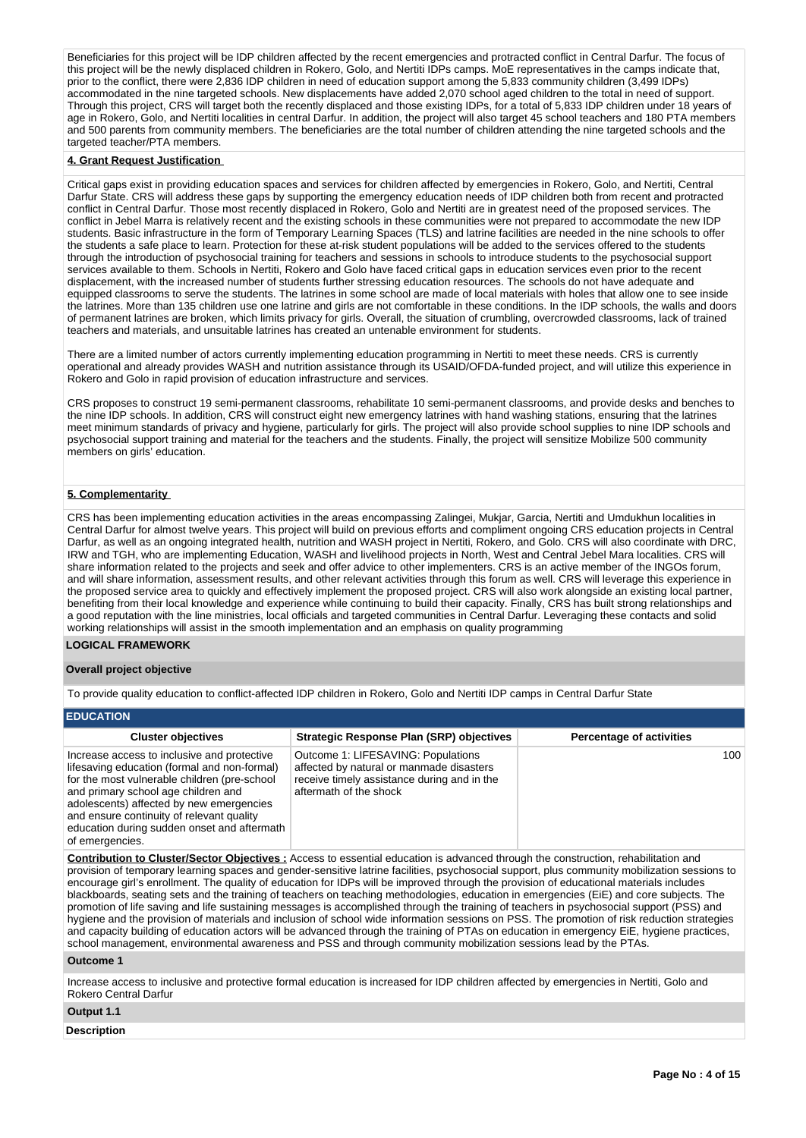Beneficiaries for this project will be IDP children affected by the recent emergencies and protracted conflict in Central Darfur. The focus of this project will be the newly displaced children in Rokero, Golo, and Nertiti IDPs camps. MoE representatives in the camps indicate that, prior to the conflict, there were 2,836 IDP children in need of education support among the 5,833 community children (3,499 IDPs) accommodated in the nine targeted schools. New displacements have added 2,070 school aged children to the total in need of support. Through this project, CRS will target both the recently displaced and those existing IDPs, for a total of 5,833 IDP children under 18 years of age in Rokero, Golo, and Nertiti localities in central Darfur. In addition, the project will also target 45 school teachers and 180 PTA members and 500 parents from community members. The beneficiaries are the total number of children attending the nine targeted schools and the targeted teacher/PTA members.

## **4. Grant Request Justification**

Critical gaps exist in providing education spaces and services for children affected by emergencies in Rokero, Golo, and Nertiti, Central Darfur State. CRS will address these gaps by supporting the emergency education needs of IDP children both from recent and protracted conflict in Central Darfur. Those most recently displaced in Rokero, Golo and Nertiti are in greatest need of the proposed services. The conflict in Jebel Marra is relatively recent and the existing schools in these communities were not prepared to accommodate the new IDP students. Basic infrastructure in the form of Temporary Learning Spaces (TLS) and latrine facilities are needed in the nine schools to offer the students a safe place to learn. Protection for these at-risk student populations will be added to the services offered to the students through the introduction of psychosocial training for teachers and sessions in schools to introduce students to the psychosocial support services available to them. Schools in Nertiti, Rokero and Golo have faced critical gaps in education services even prior to the recent displacement, with the increased number of students further stressing education resources. The schools do not have adequate and equipped classrooms to serve the students. The latrines in some school are made of local materials with holes that allow one to see inside the latrines. More than 135 children use one latrine and girls are not comfortable in these conditions. In the IDP schools, the walls and doors of permanent latrines are broken, which limits privacy for girls. Overall, the situation of crumbling, overcrowded classrooms, lack of trained teachers and materials, and unsuitable latrines has created an untenable environment for students.

There are a limited number of actors currently implementing education programming in Nertiti to meet these needs. CRS is currently operational and already provides WASH and nutrition assistance through its USAID/OFDA-funded project, and will utilize this experience in Rokero and Golo in rapid provision of education infrastructure and services.

CRS proposes to construct 19 semi-permanent classrooms, rehabilitate 10 semi-permanent classrooms, and provide desks and benches to the nine IDP schools. In addition, CRS will construct eight new emergency latrines with hand washing stations, ensuring that the latrines meet minimum standards of privacy and hygiene, particularly for girls. The project will also provide school supplies to nine IDP schools and psychosocial support training and material for the teachers and the students. Finally, the project will sensitize Mobilize 500 community members on girls' education.

## **5. Complementarity**

CRS has been implementing education activities in the areas encompassing Zalingei, Mukjar, Garcia, Nertiti and Umdukhun localities in Central Darfur for almost twelve years. This project will build on previous efforts and compliment ongoing CRS education projects in Central Darfur, as well as an ongoing integrated health, nutrition and WASH project in Nertiti, Rokero, and Golo. CRS will also coordinate with DRC, IRW and TGH, who are implementing Education, WASH and livelihood projects in North, West and Central Jebel Mara localities. CRS will share information related to the projects and seek and offer advice to other implementers. CRS is an active member of the INGOs forum, and will share information, assessment results, and other relevant activities through this forum as well. CRS will leverage this experience in the proposed service area to quickly and effectively implement the proposed project. CRS will also work alongside an existing local partner, benefiting from their local knowledge and experience while continuing to build their capacity. Finally, CRS has built strong relationships and a good reputation with the line ministries, local officials and targeted communities in Central Darfur. Leveraging these contacts and solid working relationships will assist in the smooth implementation and an emphasis on quality programming

## **LOGICAL FRAMEWORK**

#### **Overall project objective**

To provide quality education to conflict-affected IDP children in Rokero, Golo and Nertiti IDP camps in Central Darfur State

#### **EDUCATION**

| ---------                                                                                                                                                                                                                                                                                                                                     |                                                                                                                                                         |                                 |
|-----------------------------------------------------------------------------------------------------------------------------------------------------------------------------------------------------------------------------------------------------------------------------------------------------------------------------------------------|---------------------------------------------------------------------------------------------------------------------------------------------------------|---------------------------------|
| <b>Cluster objectives</b>                                                                                                                                                                                                                                                                                                                     | <b>Strategic Response Plan (SRP) objectives</b>                                                                                                         | <b>Percentage of activities</b> |
| Increase access to inclusive and protective<br>lifesaving education (formal and non-formal)<br>for the most vulnerable children (pre-school<br>and primary school age children and<br>adolescents) affected by new emergencies<br>and ensure continuity of relevant quality<br>education during sudden onset and aftermath<br>of emergencies. | Outcome 1: LIFESAVING: Populations<br>affected by natural or manmade disasters<br>receive timely assistance during and in the<br>aftermath of the shock | 100                             |

**Contribution to Cluster/Sector Objectives :** Access to essential education is advanced through the construction, rehabilitation and provision of temporary learning spaces and gender-sensitive latrine facilities, psychosocial support, plus community mobilization sessions to encourage girl's enrollment. The quality of education for IDPs will be improved through the provision of educational materials includes blackboards, seating sets and the training of teachers on teaching methodologies, education in emergencies (EiE) and core subjects. The promotion of life saving and life sustaining messages is accomplished through the training of teachers in psychosocial support (PSS) and hygiene and the provision of materials and inclusion of school wide information sessions on PSS. The promotion of risk reduction strategies and capacity building of education actors will be advanced through the training of PTAs on education in emergency EiE, hygiene practices, school management, environmental awareness and PSS and through community mobilization sessions lead by the PTAs.

#### **Outcome 1**

Increase access to inclusive and protective formal education is increased for IDP children affected by emergencies in Nertiti, Golo and Rokero Central Darfur

# **Output 1.1**

**Description**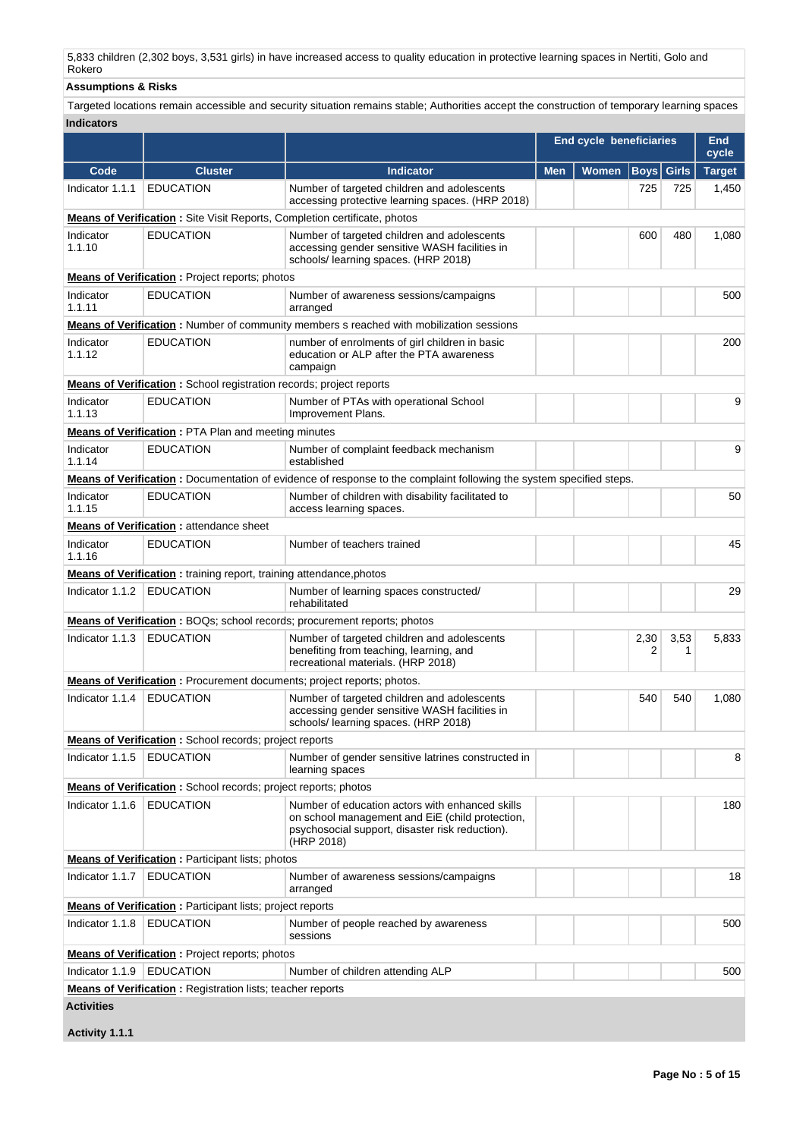5,833 children (2,302 boys, 3,531 girls) in have increased access to quality education in protective learning spaces in Nertiti, Golo and Rokero

# **Assumptions & Risks**

Targeted locations remain accessible and security situation remains stable; Authorities accept the construction of temporary learning spaces **Indicators**

|                           |                                                                                  |                                                                                                                                                                     | <b>End cycle beneficiaries</b> |       |             |              | End<br>cycle  |
|---------------------------|----------------------------------------------------------------------------------|---------------------------------------------------------------------------------------------------------------------------------------------------------------------|--------------------------------|-------|-------------|--------------|---------------|
| Code                      | <b>Cluster</b>                                                                   | Indicator                                                                                                                                                           | <b>Men</b>                     | Women | <b>Boys</b> | <b>Girls</b> | <b>Target</b> |
| Indicator 1.1.1           | <b>EDUCATION</b>                                                                 | Number of targeted children and adolescents<br>accessing protective learning spaces. (HRP 2018)                                                                     |                                |       | 725         | 725          | 1,450         |
|                           | <b>Means of Verification:</b> Site Visit Reports, Completion certificate, photos |                                                                                                                                                                     |                                |       |             |              |               |
| Indicator<br>1.1.10       | <b>EDUCATION</b>                                                                 | Number of targeted children and adolescents<br>accessing gender sensitive WASH facilities in<br>schools/ learning spaces. (HRP 2018)                                |                                |       | 600         | 480          | 1,080         |
|                           | <b>Means of Verification:</b> Project reports; photos                            |                                                                                                                                                                     |                                |       |             |              |               |
| Indicator<br>1.1.11       | <b>EDUCATION</b>                                                                 | Number of awareness sessions/campaigns<br>arranged                                                                                                                  |                                |       |             |              | 500           |
|                           |                                                                                  | <b>Means of Verification:</b> Number of community members s reached with mobilization sessions                                                                      |                                |       |             |              |               |
| Indicator<br>1.1.12       | <b>EDUCATION</b>                                                                 | number of enrolments of girl children in basic<br>education or ALP after the PTA awareness<br>campaign                                                              |                                |       |             |              | 200           |
|                           | Means of Verification: School registration records; project reports              |                                                                                                                                                                     |                                |       |             |              |               |
| Indicator<br>1.1.13       | <b>EDUCATION</b>                                                                 | Number of PTAs with operational School<br>Improvement Plans.                                                                                                        |                                |       |             |              | 9             |
|                           | Means of Verification: PTA Plan and meeting minutes                              |                                                                                                                                                                     |                                |       |             |              |               |
| Indicator<br>1.1.14       | <b>EDUCATION</b>                                                                 | Number of complaint feedback mechanism<br>established                                                                                                               |                                |       |             |              | 9             |
|                           |                                                                                  | Means of Verification : Documentation of evidence of response to the complaint following the system specified steps.                                                |                                |       |             |              |               |
| Indicator<br>1.1.15       | <b>EDUCATION</b>                                                                 | Number of children with disability facilitated to<br>access learning spaces.                                                                                        |                                |       |             |              | 50            |
|                           | <b>Means of Verification:</b> attendance sheet                                   |                                                                                                                                                                     |                                |       |             |              |               |
| Indicator<br>1.1.16       | <b>EDUCATION</b>                                                                 | Number of teachers trained                                                                                                                                          |                                |       |             |              | 45            |
|                           | Means of Verification: training report, training attendance, photos              |                                                                                                                                                                     |                                |       |             |              |               |
| Indicator 1.1.2           | <b>EDUCATION</b>                                                                 | Number of learning spaces constructed/<br>rehabilitated                                                                                                             |                                |       |             |              | 29            |
|                           |                                                                                  | Means of Verification: BOQs; school records; procurement reports; photos                                                                                            |                                |       |             |              |               |
| Indicator 1.1.3           | <b>EDUCATION</b>                                                                 | Number of targeted children and adolescents<br>benefiting from teaching, learning, and<br>recreational materials. (HRP 2018)                                        |                                |       | 2,30<br>2   | 3,53<br>1    | 5,833         |
|                           | <b>Means of Verification:</b> Procurement documents; project reports; photos.    |                                                                                                                                                                     |                                |       |             |              |               |
| Indicator 1.1.4           | <b>EDUCATION</b>                                                                 | Number of targeted children and adolescents<br>accessing gender sensitive WASH facilities in<br>schools/ learning spaces. (HRP 2018)                                |                                |       | 540         | 540          | 1,080         |
|                           | <b>Means of Verification:</b> School records; project reports                    |                                                                                                                                                                     |                                |       |             |              |               |
| Indicator 1.1.5           | <b>EDUCATION</b>                                                                 | Number of gender sensitive latrines constructed in<br>learning spaces                                                                                               |                                |       |             |              | 8             |
|                           | Means of Verification: School records; project reports; photos                   |                                                                                                                                                                     |                                |       |             |              |               |
| Indicator 1.1.6           | <b>EDUCATION</b>                                                                 | Number of education actors with enhanced skills<br>on school management and EiE (child protection,<br>psychosocial support, disaster risk reduction).<br>(HRP 2018) |                                |       |             |              | 180           |
|                           | <b>Means of Verification:</b> Participant lists; photos                          |                                                                                                                                                                     |                                |       |             |              |               |
| Indicator 1.1.7           | <b>EDUCATION</b>                                                                 | Number of awareness sessions/campaigns<br>arranged                                                                                                                  |                                |       |             |              | 18            |
|                           | <b>Means of Verification:</b> Participant lists; project reports                 |                                                                                                                                                                     |                                |       |             |              |               |
| Indicator 1.1.8           | <b>EDUCATION</b>                                                                 | Number of people reached by awareness<br>sessions                                                                                                                   |                                |       |             |              | 500           |
|                           | <b>Means of Verification:</b> Project reports; photos                            |                                                                                                                                                                     |                                |       |             |              |               |
| Indicator 1.1.9 EDUCATION |                                                                                  | Number of children attending ALP                                                                                                                                    |                                |       |             |              | 500           |
| <b>Activities</b>         | <b>Means of Verification:</b> Registration lists; teacher reports                |                                                                                                                                                                     |                                |       |             |              |               |

**Activity 1.1.1**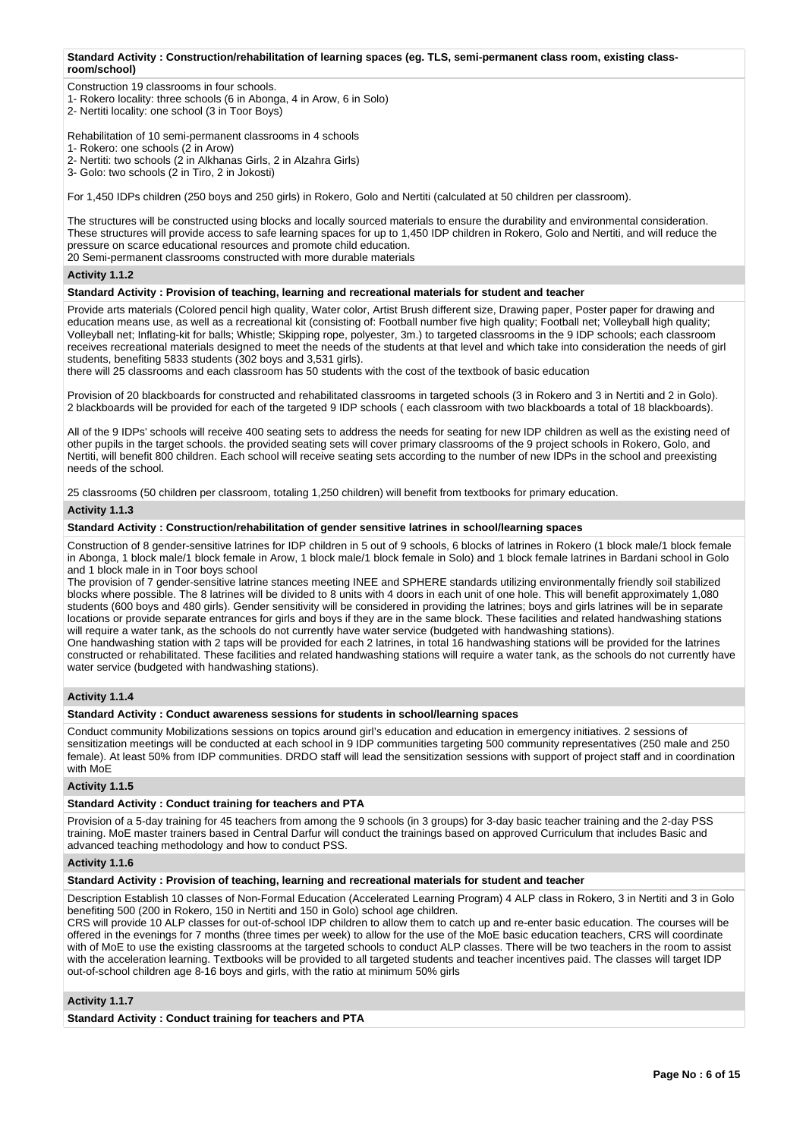#### **Standard Activity : Construction/rehabilitation of learning spaces (eg. TLS, semi-permanent class room, existing classroom/school)**

- Construction 19 classrooms in four schools.
- 1- Rokero locality: three schools (6 in Abonga, 4 in Arow, 6 in Solo)
- 2- Nertiti locality: one school (3 in Toor Boys)

Rehabilitation of 10 semi-permanent classrooms in 4 schools

- 1- Rokero: one schools (2 in Arow)
- 2- Nertiti: two schools (2 in Alkhanas Girls, 2 in Alzahra Girls)
- 3- Golo: two schools (2 in Tiro, 2 in Jokosti)

For 1,450 IDPs children (250 boys and 250 girls) in Rokero, Golo and Nertiti (calculated at 50 children per classroom).

The structures will be constructed using blocks and locally sourced materials to ensure the durability and environmental consideration. These structures will provide access to safe learning spaces for up to 1,450 IDP children in Rokero, Golo and Nertiti, and will reduce the pressure on scarce educational resources and promote child education.

20 Semi-permanent classrooms constructed with more durable materials

### **Activity 1.1.2**

#### **Standard Activity : Provision of teaching, learning and recreational materials for student and teacher**

Provide arts materials (Colored pencil high quality, Water color, Artist Brush different size, Drawing paper, Poster paper for drawing and education means use, as well as a recreational kit (consisting of: Football number five high quality; Football net; Volleyball high quality; Volleyball net; Inflating-kit for balls; Whistle; Skipping rope, polyester, 3m.) to targeted classrooms in the 9 IDP schools; each classroom receives recreational materials designed to meet the needs of the students at that level and which take into consideration the needs of girl students, benefiting 5833 students (302 boys and 3,531 girls).

there will 25 classrooms and each classroom has 50 students with the cost of the textbook of basic education

Provision of 20 blackboards for constructed and rehabilitated classrooms in targeted schools (3 in Rokero and 3 in Nertiti and 2 in Golo). 2 blackboards will be provided for each of the targeted 9 IDP schools ( each classroom with two blackboards a total of 18 blackboards).

All of the 9 IDPs' schools will receive 400 seating sets to address the needs for seating for new IDP children as well as the existing need of other pupils in the target schools. the provided seating sets will cover primary classrooms of the 9 project schools in Rokero, Golo, and Nertiti, will benefit 800 children. Each school will receive seating sets according to the number of new IDPs in the school and preexisting needs of the school.

25 classrooms (50 children per classroom, totaling 1,250 children) will benefit from textbooks for primary education.

## **Activity 1.1.3**

## **Standard Activity : Construction/rehabilitation of gender sensitive latrines in school/learning spaces**

Construction of 8 gender-sensitive latrines for IDP children in 5 out of 9 schools, 6 blocks of latrines in Rokero (1 block male/1 block female in Abonga, 1 block male/1 block female in Arow, 1 block male/1 block female in Solo) and 1 block female latrines in Bardani school in Golo and 1 block male in in Toor boys school

The provision of 7 gender-sensitive latrine stances meeting INEE and SPHERE standards utilizing environmentally friendly soil stabilized blocks where possible. The 8 latrines will be divided to 8 units with 4 doors in each unit of one hole. This will benefit approximately 1,080 students (600 boys and 480 girls). Gender sensitivity will be considered in providing the latrines; boys and girls latrines will be in separate locations or provide separate entrances for girls and boys if they are in the same block. These facilities and related handwashing stations will require a water tank, as the schools do not currently have water service (budgeted with handwashing stations).

One handwashing station with 2 taps will be provided for each 2 latrines, in total 16 handwashing stations will be provided for the latrines constructed or rehabilitated. These facilities and related handwashing stations will require a water tank, as the schools do not currently have water service (budgeted with handwashing stations).

### **Activity 1.1.4**

### **Standard Activity : Conduct awareness sessions for students in school/learning spaces**

Conduct community Mobilizations sessions on topics around girl's education and education in emergency initiatives. 2 sessions of sensitization meetings will be conducted at each school in 9 IDP communities targeting 500 community representatives (250 male and 250 female). At least 50% from IDP communities. DRDO staff will lead the sensitization sessions with support of project staff and in coordination with MoE

### **Activity 1.1.5**

## **Standard Activity : Conduct training for teachers and PTA**

Provision of a 5-day training for 45 teachers from among the 9 schools (in 3 groups) for 3-day basic teacher training and the 2-day PSS training. MoE master trainers based in Central Darfur will conduct the trainings based on approved Curriculum that includes Basic and advanced teaching methodology and how to conduct PSS.

#### **Activity 1.1.6**

## **Standard Activity : Provision of teaching, learning and recreational materials for student and teacher**

Description Establish 10 classes of Non-Formal Education (Accelerated Learning Program) 4 ALP class in Rokero, 3 in Nertiti and 3 in Golo benefiting 500 (200 in Rokero, 150 in Nertiti and 150 in Golo) school age children.

CRS will provide 10 ALP classes for out-of-school IDP children to allow them to catch up and re-enter basic education. The courses will be offered in the evenings for 7 months (three times per week) to allow for the use of the MoE basic education teachers, CRS will coordinate with of MoE to use the existing classrooms at the targeted schools to conduct ALP classes. There will be two teachers in the room to assist with the acceleration learning. Textbooks will be provided to all targeted students and teacher incentives paid. The classes will target IDP out-of-school children age 8-16 boys and girls, with the ratio at minimum 50% girls

**Activity 1.1.7** 

**Standard Activity : Conduct training for teachers and PTA**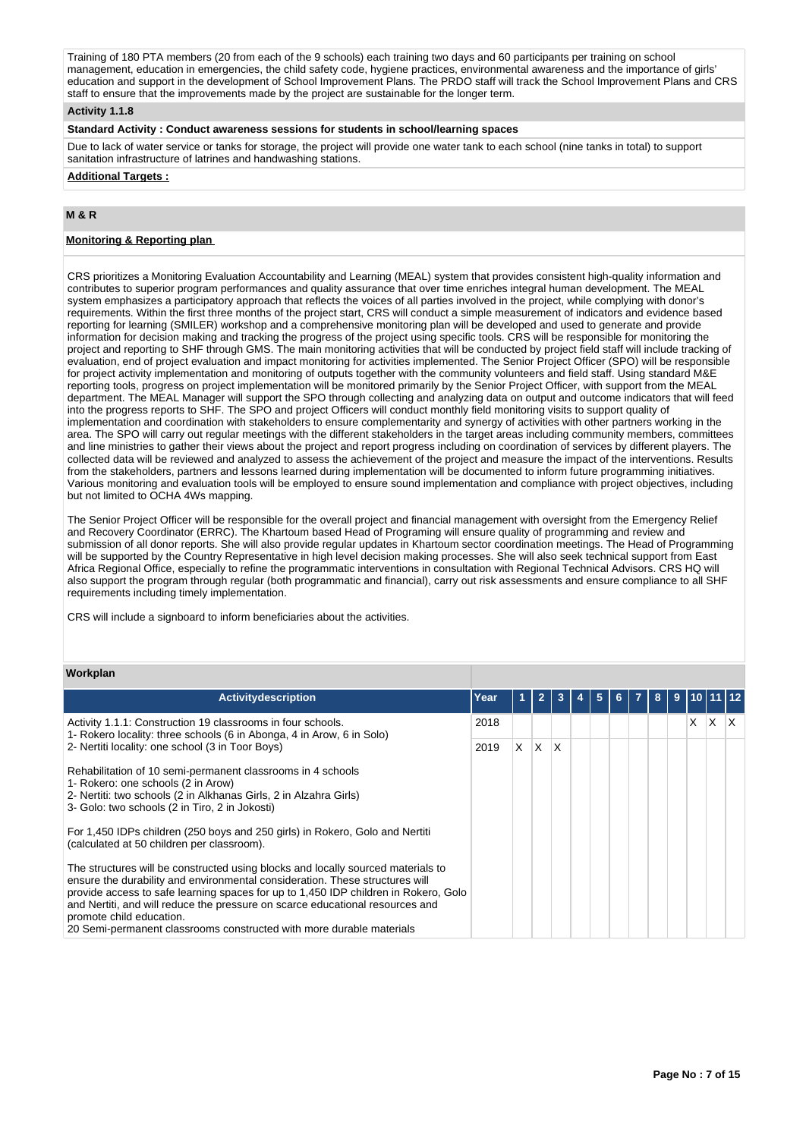Training of 180 PTA members (20 from each of the 9 schools) each training two days and 60 participants per training on school management, education in emergencies, the child safety code, hygiene practices, environmental awareness and the importance of girls' education and support in the development of School Improvement Plans. The PRDO staff will track the School Improvement Plans and CRS staff to ensure that the improvements made by the project are sustainable for the longer term.

### **Activity 1.1.8**

## **Standard Activity : Conduct awareness sessions for students in school/learning spaces**

Due to lack of water service or tanks for storage, the project will provide one water tank to each school (nine tanks in total) to support sanitation infrastructure of latrines and handwashing stations.

#### **Additional Targets :**

# **M & R**

## **Monitoring & Reporting plan**

CRS prioritizes a Monitoring Evaluation Accountability and Learning (MEAL) system that provides consistent high-quality information and contributes to superior program performances and quality assurance that over time enriches integral human development. The MEAL system emphasizes a participatory approach that reflects the voices of all parties involved in the project, while complying with donor's requirements. Within the first three months of the project start, CRS will conduct a simple measurement of indicators and evidence based reporting for learning (SMILER) workshop and a comprehensive monitoring plan will be developed and used to generate and provide information for decision making and tracking the progress of the project using specific tools. CRS will be responsible for monitoring the project and reporting to SHF through GMS. The main monitoring activities that will be conducted by project field staff will include tracking of evaluation, end of project evaluation and impact monitoring for activities implemented. The Senior Project Officer (SPO) will be responsible for project activity implementation and monitoring of outputs together with the community volunteers and field staff. Using standard M&E reporting tools, progress on project implementation will be monitored primarily by the Senior Project Officer, with support from the MEAL department. The MEAL Manager will support the SPO through collecting and analyzing data on output and outcome indicators that will feed into the progress reports to SHF. The SPO and project Officers will conduct monthly field monitoring visits to support quality of implementation and coordination with stakeholders to ensure complementarity and synergy of activities with other partners working in the area. The SPO will carry out regular meetings with the different stakeholders in the target areas including community members, committees and line ministries to gather their views about the project and report progress including on coordination of services by different players. The collected data will be reviewed and analyzed to assess the achievement of the project and measure the impact of the interventions. Results from the stakeholders, partners and lessons learned during implementation will be documented to inform future programming initiatives. Various monitoring and evaluation tools will be employed to ensure sound implementation and compliance with project objectives, including but not limited to OCHA 4Ws mapping.

The Senior Project Officer will be responsible for the overall project and financial management with oversight from the Emergency Relief and Recovery Coordinator (ERRC). The Khartoum based Head of Programing will ensure quality of programming and review and submission of all donor reports. She will also provide regular updates in Khartoum sector coordination meetings. The Head of Programming will be supported by the Country Representative in high level decision making processes. She will also seek technical support from East Africa Regional Office, especially to refine the programmatic interventions in consultation with Regional Technical Advisors. CRS HQ will also support the program through regular (both programmatic and financial), carry out risk assessments and ensure compliance to all SHF requirements including timely implementation.

CRS will include a signboard to inform beneficiaries about the activities.

# **Workplan**

| <b>Activitydescription</b>                                                                                                                                                                                                                                                                                                                                                                                                                   | Year |    | $\overline{2}$ | 3   | 5 | 6 <sup>1</sup> | -7 I | 8 | 9 | $\vert$ 10 $\vert$ 11 $\vert$ 12 $\vert$ |    |                         |
|----------------------------------------------------------------------------------------------------------------------------------------------------------------------------------------------------------------------------------------------------------------------------------------------------------------------------------------------------------------------------------------------------------------------------------------------|------|----|----------------|-----|---|----------------|------|---|---|------------------------------------------|----|-------------------------|
| Activity 1.1.1: Construction 19 classrooms in four schools.<br>1- Rokero locality: three schools (6 in Abonga, 4 in Arow, 6 in Solo)                                                                                                                                                                                                                                                                                                         | 2018 |    |                |     |   |                |      |   |   | X.                                       | X. | $\mathsf{I} \mathsf{X}$ |
| 2- Nertiti locality: one school (3 in Toor Boys)                                                                                                                                                                                                                                                                                                                                                                                             | 2019 | X. | IX.            | ΙX. |   |                |      |   |   |                                          |    |                         |
| Rehabilitation of 10 semi-permanent classrooms in 4 schools<br>1- Rokero: one schools (2 in Arow)<br>2- Nertiti: two schools (2 in Alkhanas Girls, 2 in Alzahra Girls)<br>3- Golo: two schools (2 in Tiro, 2 in Jokosti)                                                                                                                                                                                                                     |      |    |                |     |   |                |      |   |   |                                          |    |                         |
| For 1,450 IDPs children (250 boys and 250 girls) in Rokero, Golo and Nertiti<br>(calculated at 50 children per classroom).                                                                                                                                                                                                                                                                                                                   |      |    |                |     |   |                |      |   |   |                                          |    |                         |
| The structures will be constructed using blocks and locally sourced materials to<br>ensure the durability and environmental consideration. These structures will<br>provide access to safe learning spaces for up to 1,450 IDP children in Rokero, Golo<br>and Nertiti, and will reduce the pressure on scarce educational resources and<br>promote child education.<br>20 Semi-permanent classrooms constructed with more durable materials |      |    |                |     |   |                |      |   |   |                                          |    |                         |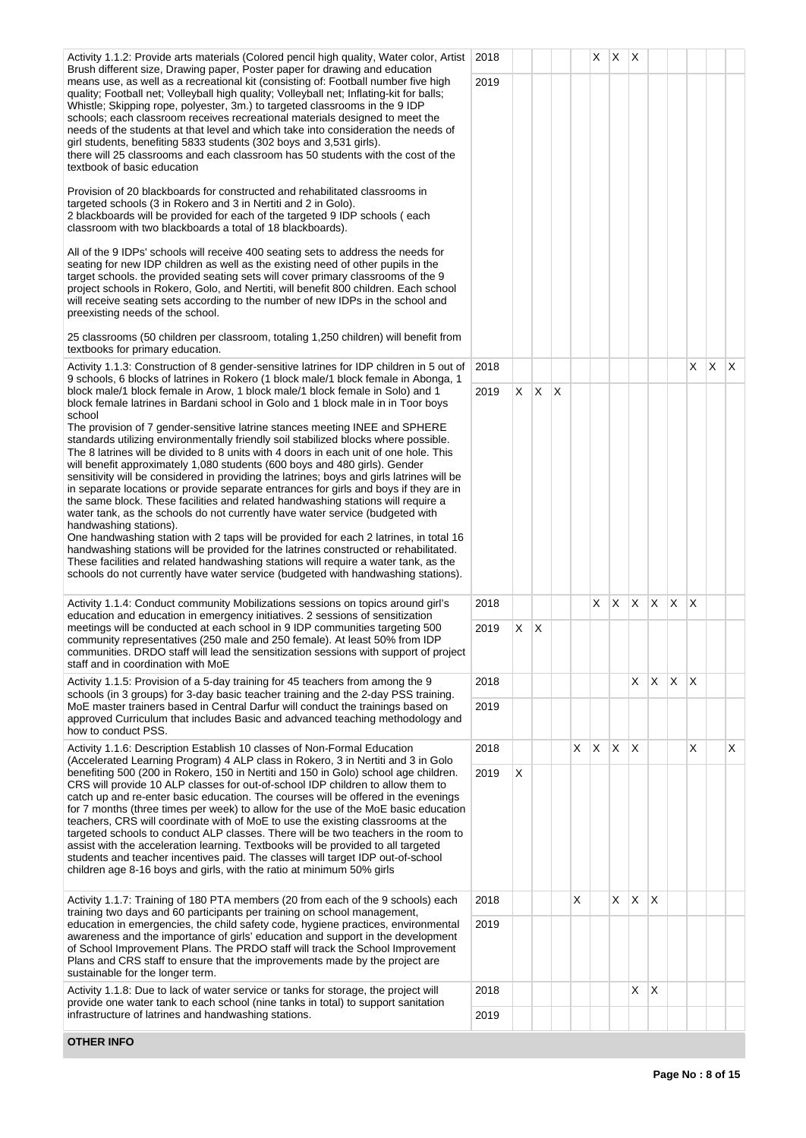| 2018<br>Activity 1.1.2: Provide arts materials (Colored pencil high quality, Water color, Artist<br>Brush different size, Drawing paper, Poster paper for drawing and education                                                                                                                                                                                                                                                                                                                                                                                                                                                                                                                                                                                                                                                                                                                                                                                                                                                                                                                       |      |   |              |   |    | X            | $\mathsf{X}$ | $\mathsf{X}$ |              |    |                         |              |              |
|-------------------------------------------------------------------------------------------------------------------------------------------------------------------------------------------------------------------------------------------------------------------------------------------------------------------------------------------------------------------------------------------------------------------------------------------------------------------------------------------------------------------------------------------------------------------------------------------------------------------------------------------------------------------------------------------------------------------------------------------------------------------------------------------------------------------------------------------------------------------------------------------------------------------------------------------------------------------------------------------------------------------------------------------------------------------------------------------------------|------|---|--------------|---|----|--------------|--------------|--------------|--------------|----|-------------------------|--------------|--------------|
| means use, as well as a recreational kit (consisting of: Football number five high<br>2019<br>quality; Football net; Volleyball high quality; Volleyball net; Inflating-kit for balls;<br>Whistle; Skipping rope, polyester, 3m.) to targeted classrooms in the 9 IDP<br>schools; each classroom receives recreational materials designed to meet the<br>needs of the students at that level and which take into consideration the needs of<br>girl students, benefiting 5833 students (302 boys and 3,531 girls).<br>there will 25 classrooms and each classroom has 50 students with the cost of the<br>textbook of basic education                                                                                                                                                                                                                                                                                                                                                                                                                                                                 |      |   |              |   |    |              |              |              |              |    |                         |              |              |
| Provision of 20 blackboards for constructed and rehabilitated classrooms in<br>targeted schools (3 in Rokero and 3 in Nertiti and 2 in Golo).<br>2 blackboards will be provided for each of the targeted 9 IDP schools (each<br>classroom with two blackboards a total of 18 blackboards).                                                                                                                                                                                                                                                                                                                                                                                                                                                                                                                                                                                                                                                                                                                                                                                                            |      |   |              |   |    |              |              |              |              |    |                         |              |              |
| All of the 9 IDPs' schools will receive 400 seating sets to address the needs for<br>seating for new IDP children as well as the existing need of other pupils in the<br>target schools, the provided seating sets will cover primary classrooms of the 9<br>project schools in Rokero, Golo, and Nertiti, will benefit 800 children. Each school<br>will receive seating sets according to the number of new IDPs in the school and<br>preexisting needs of the school.                                                                                                                                                                                                                                                                                                                                                                                                                                                                                                                                                                                                                              |      |   |              |   |    |              |              |              |              |    |                         |              |              |
| 25 classrooms (50 children per classroom, totaling 1,250 children) will benefit from<br>textbooks for primary education.                                                                                                                                                                                                                                                                                                                                                                                                                                                                                                                                                                                                                                                                                                                                                                                                                                                                                                                                                                              |      |   |              |   |    |              |              |              |              |    |                         |              |              |
| Activity 1.1.3: Construction of 8 gender-sensitive latrines for IDP children in 5 out of<br>9 schools, 6 blocks of latrines in Rokero (1 block male/1 block female in Abonga, 1                                                                                                                                                                                                                                                                                                                                                                                                                                                                                                                                                                                                                                                                                                                                                                                                                                                                                                                       | 2018 |   |              |   |    |              |              |              |              |    | X                       | $\mathsf{X}$ | $\mathsf{X}$ |
| block male/1 block female in Arow, 1 block male/1 block female in Solo) and 1<br>block female latrines in Bardani school in Golo and 1 block male in in Toor boys                                                                                                                                                                                                                                                                                                                                                                                                                                                                                                                                                                                                                                                                                                                                                                                                                                                                                                                                     | 2019 | X | ΙX.          | Χ |    |              |              |              |              |    |                         |              |              |
| school<br>The provision of 7 gender-sensitive latrine stances meeting INEE and SPHERE<br>standards utilizing environmentally friendly soil stabilized blocks where possible.<br>The 8 latrines will be divided to 8 units with 4 doors in each unit of one hole. This<br>will benefit approximately 1,080 students (600 boys and 480 girls). Gender<br>sensitivity will be considered in providing the latrines; boys and girls latrines will be<br>in separate locations or provide separate entrances for girls and boys if they are in<br>the same block. These facilities and related handwashing stations will require a<br>water tank, as the schools do not currently have water service (budgeted with<br>handwashing stations).<br>One handwashing station with 2 taps will be provided for each 2 latrines, in total 16<br>handwashing stations will be provided for the latrines constructed or rehabilitated.<br>These facilities and related handwashing stations will require a water tank, as the<br>schools do not currently have water service (budgeted with handwashing stations). |      |   |              |   |    |              |              |              |              |    |                         |              |              |
| Activity 1.1.4: Conduct community Mobilizations sessions on topics around girl's<br>education and education in emergency initiatives. 2 sessions of sensitization                                                                                                                                                                                                                                                                                                                                                                                                                                                                                                                                                                                                                                                                                                                                                                                                                                                                                                                                     | 2018 |   |              |   |    | X.           | X.           | X.           | $\mathsf{X}$ | X. | $\overline{\mathsf{x}}$ |              |              |
| meetings will be conducted at each school in 9 IDP communities targeting 500<br>community representatives (250 male and 250 female). At least 50% from IDP<br>communities. DRDO staff will lead the sensitization sessions with support of project<br>staff and in coordination with MoE                                                                                                                                                                                                                                                                                                                                                                                                                                                                                                                                                                                                                                                                                                                                                                                                              | 2019 | X | $\mathsf{X}$ |   |    |              |              |              |              |    |                         |              |              |
| Activity 1.1.5: Provision of a 5-day training for 45 teachers from among the 9<br>schools (in 3 groups) for 3-day basic teacher training and the 2-day PSS training.                                                                                                                                                                                                                                                                                                                                                                                                                                                                                                                                                                                                                                                                                                                                                                                                                                                                                                                                  | 2018 |   |              |   |    |              |              | X.           | X            | X. | $\mathsf{X}$            |              |              |
| MoE master trainers based in Central Darfur will conduct the trainings based on<br>approved Curriculum that includes Basic and advanced teaching methodology and<br>how to conduct PSS.                                                                                                                                                                                                                                                                                                                                                                                                                                                                                                                                                                                                                                                                                                                                                                                                                                                                                                               | 2019 |   |              |   |    |              |              |              |              |    |                         |              |              |
| Activity 1.1.6: Description Establish 10 classes of Non-Formal Education<br>(Accelerated Learning Program) 4 ALP class in Rokero, 3 in Nertiti and 3 in Golo                                                                                                                                                                                                                                                                                                                                                                                                                                                                                                                                                                                                                                                                                                                                                                                                                                                                                                                                          | 2018 |   |              |   | X. | $\mathsf{X}$ | $X$ $X$      |              |              |    | X                       |              | X.           |
| benefiting 500 (200 in Rokero, 150 in Nertiti and 150 in Golo) school age children.<br>2019<br>CRS will provide 10 ALP classes for out-of-school IDP children to allow them to<br>catch up and re-enter basic education. The courses will be offered in the evenings<br>for 7 months (three times per week) to allow for the use of the MoE basic education<br>teachers, CRS will coordinate with of MoE to use the existing classrooms at the<br>targeted schools to conduct ALP classes. There will be two teachers in the room to<br>assist with the acceleration learning. Textbooks will be provided to all targeted<br>students and teacher incentives paid. The classes will target IDP out-of-school<br>children age 8-16 boys and girls, with the ratio at minimum 50% girls                                                                                                                                                                                                                                                                                                                 |      | X |              |   |    |              |              |              |              |    |                         |              |              |
| Activity 1.1.7: Training of 180 PTA members (20 from each of the 9 schools) each<br>training two days and 60 participants per training on school management,                                                                                                                                                                                                                                                                                                                                                                                                                                                                                                                                                                                                                                                                                                                                                                                                                                                                                                                                          | 2018 |   |              |   | х  |              | X            | X            | X            |    |                         |              |              |
| education in emergencies, the child safety code, hygiene practices, environmental<br>2019<br>awareness and the importance of girls' education and support in the development<br>of School Improvement Plans. The PRDO staff will track the School Improvement<br>Plans and CRS staff to ensure that the improvements made by the project are<br>sustainable for the longer term.                                                                                                                                                                                                                                                                                                                                                                                                                                                                                                                                                                                                                                                                                                                      |      |   |              |   |    |              |              |              |              |    |                         |              |              |
| Activity 1.1.8: Due to lack of water service or tanks for storage, the project will<br>provide one water tank to each school (nine tanks in total) to support sanitation                                                                                                                                                                                                                                                                                                                                                                                                                                                                                                                                                                                                                                                                                                                                                                                                                                                                                                                              | 2018 |   |              |   |    |              |              | X            | X            |    |                         |              |              |
| infrastructure of latrines and handwashing stations.                                                                                                                                                                                                                                                                                                                                                                                                                                                                                                                                                                                                                                                                                                                                                                                                                                                                                                                                                                                                                                                  | 2019 |   |              |   |    |              |              |              |              |    |                         |              |              |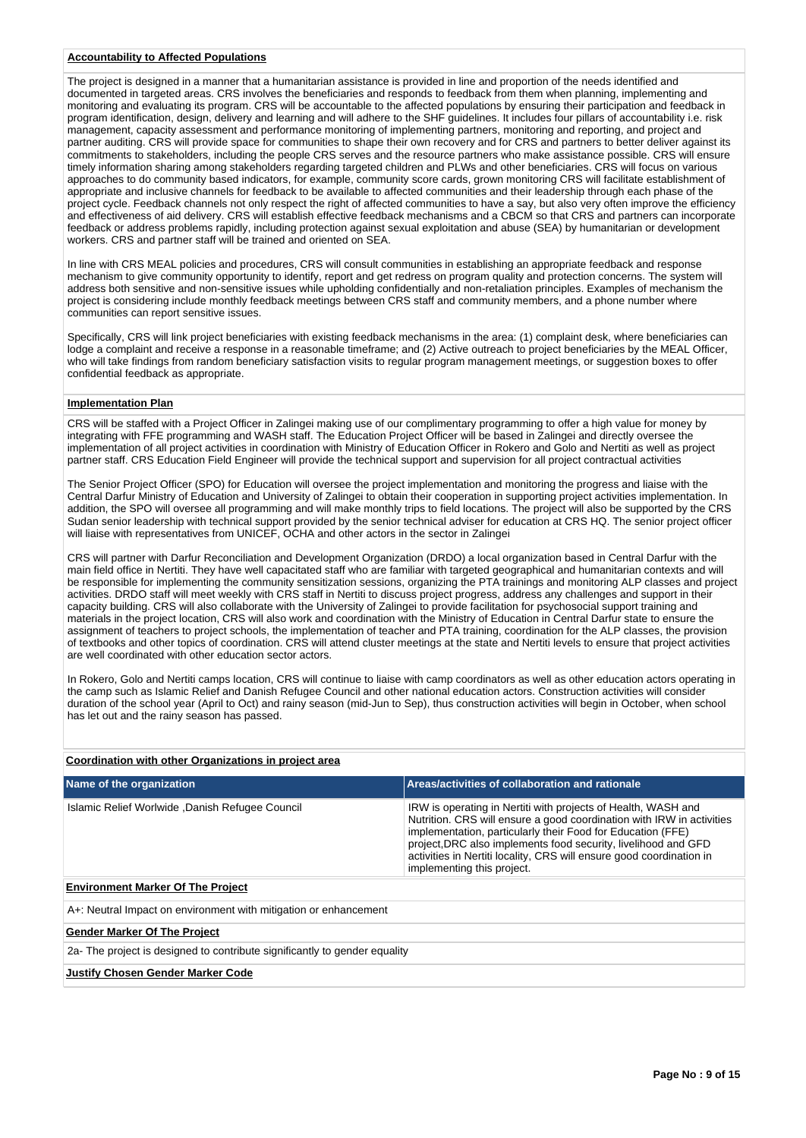### **Accountability to Affected Populations**

The project is designed in a manner that a humanitarian assistance is provided in line and proportion of the needs identified and documented in targeted areas. CRS involves the beneficiaries and responds to feedback from them when planning, implementing and monitoring and evaluating its program. CRS will be accountable to the affected populations by ensuring their participation and feedback in program identification, design, delivery and learning and will adhere to the SHF guidelines. It includes four pillars of accountability i.e. risk management, capacity assessment and performance monitoring of implementing partners, monitoring and reporting, and project and partner auditing. CRS will provide space for communities to shape their own recovery and for CRS and partners to better deliver against its commitments to stakeholders, including the people CRS serves and the resource partners who make assistance possible. CRS will ensure timely information sharing among stakeholders regarding targeted children and PLWs and other beneficiaries. CRS will focus on various approaches to do community based indicators, for example, community score cards, grown monitoring CRS will facilitate establishment of appropriate and inclusive channels for feedback to be available to affected communities and their leadership through each phase of the project cycle. Feedback channels not only respect the right of affected communities to have a say, but also very often improve the efficiency and effectiveness of aid delivery. CRS will establish effective feedback mechanisms and a CBCM so that CRS and partners can incorporate feedback or address problems rapidly, including protection against sexual exploitation and abuse (SEA) by humanitarian or development workers. CRS and partner staff will be trained and oriented on SEA.

In line with CRS MEAL policies and procedures, CRS will consult communities in establishing an appropriate feedback and response mechanism to give community opportunity to identify, report and get redress on program quality and protection concerns. The system will address both sensitive and non-sensitive issues while upholding confidentially and non-retaliation principles. Examples of mechanism the project is considering include monthly feedback meetings between CRS staff and community members, and a phone number where communities can report sensitive issues.

Specifically, CRS will link project beneficiaries with existing feedback mechanisms in the area: (1) complaint desk, where beneficiaries can lodge a complaint and receive a response in a reasonable timeframe; and (2) Active outreach to project beneficiaries by the MEAL Officer, who will take findings from random beneficiary satisfaction visits to regular program management meetings, or suggestion boxes to offer confidential feedback as appropriate.

#### **Implementation Plan**

CRS will be staffed with a Project Officer in Zalingei making use of our complimentary programming to offer a high value for money by integrating with FFE programming and WASH staff. The Education Project Officer will be based in Zalingei and directly oversee the implementation of all project activities in coordination with Ministry of Education Officer in Rokero and Golo and Nertiti as well as project partner staff. CRS Education Field Engineer will provide the technical support and supervision for all project contractual activities

The Senior Project Officer (SPO) for Education will oversee the project implementation and monitoring the progress and liaise with the Central Darfur Ministry of Education and University of Zalingei to obtain their cooperation in supporting project activities implementation. In addition, the SPO will oversee all programming and will make monthly trips to field locations. The project will also be supported by the CRS Sudan senior leadership with technical support provided by the senior technical adviser for education at CRS HQ. The senior project officer will liaise with representatives from UNICEF, OCHA and other actors in the sector in Zalingei

CRS will partner with Darfur Reconciliation and Development Organization (DRDO) a local organization based in Central Darfur with the main field office in Nertiti. They have well capacitated staff who are familiar with targeted geographical and humanitarian contexts and will be responsible for implementing the community sensitization sessions, organizing the PTA trainings and monitoring ALP classes and project activities. DRDO staff will meet weekly with CRS staff in Nertiti to discuss project progress, address any challenges and support in their capacity building. CRS will also collaborate with the University of Zalingei to provide facilitation for psychosocial support training and materials in the project location, CRS will also work and coordination with the Ministry of Education in Central Darfur state to ensure the assignment of teachers to project schools, the implementation of teacher and PTA training, coordination for the ALP classes, the provision of textbooks and other topics of coordination. CRS will attend cluster meetings at the state and Nertiti levels to ensure that project activities are well coordinated with other education sector actors.

In Rokero, Golo and Nertiti camps location, CRS will continue to liaise with camp coordinators as well as other education actors operating in the camp such as Islamic Relief and Danish Refugee Council and other national education actors. Construction activities will consider duration of the school year (April to Oct) and rainy season (mid-Jun to Sep), thus construction activities will begin in October, when school has let out and the rainy season has passed.

#### **Coordination with other Organizations in project area**

| Name of the organization                                                   | Areas/activities of collaboration and rationale                                                                                                                                                                                                                                                                                                                               |
|----------------------------------------------------------------------------|-------------------------------------------------------------------------------------------------------------------------------------------------------------------------------------------------------------------------------------------------------------------------------------------------------------------------------------------------------------------------------|
| Islamic Relief Worlwide , Danish Refugee Council                           | IRW is operating in Nertiti with projects of Health, WASH and<br>Nutrition. CRS will ensure a good coordination with IRW in activities<br>implementation, particularly their Food for Education (FFE)<br>project, DRC also implements food security, livelihood and GFD<br>activities in Nertiti locality, CRS will ensure good coordination in<br>implementing this project. |
| <b>Environment Marker Of The Project</b>                                   |                                                                                                                                                                                                                                                                                                                                                                               |
| A+: Neutral Impact on environment with mitigation or enhancement           |                                                                                                                                                                                                                                                                                                                                                                               |
| <b>Gender Marker Of The Project</b>                                        |                                                                                                                                                                                                                                                                                                                                                                               |
| 2a- The project is designed to contribute significantly to gender equality |                                                                                                                                                                                                                                                                                                                                                                               |
| <b>Justify Chosen Gender Marker Code</b>                                   |                                                                                                                                                                                                                                                                                                                                                                               |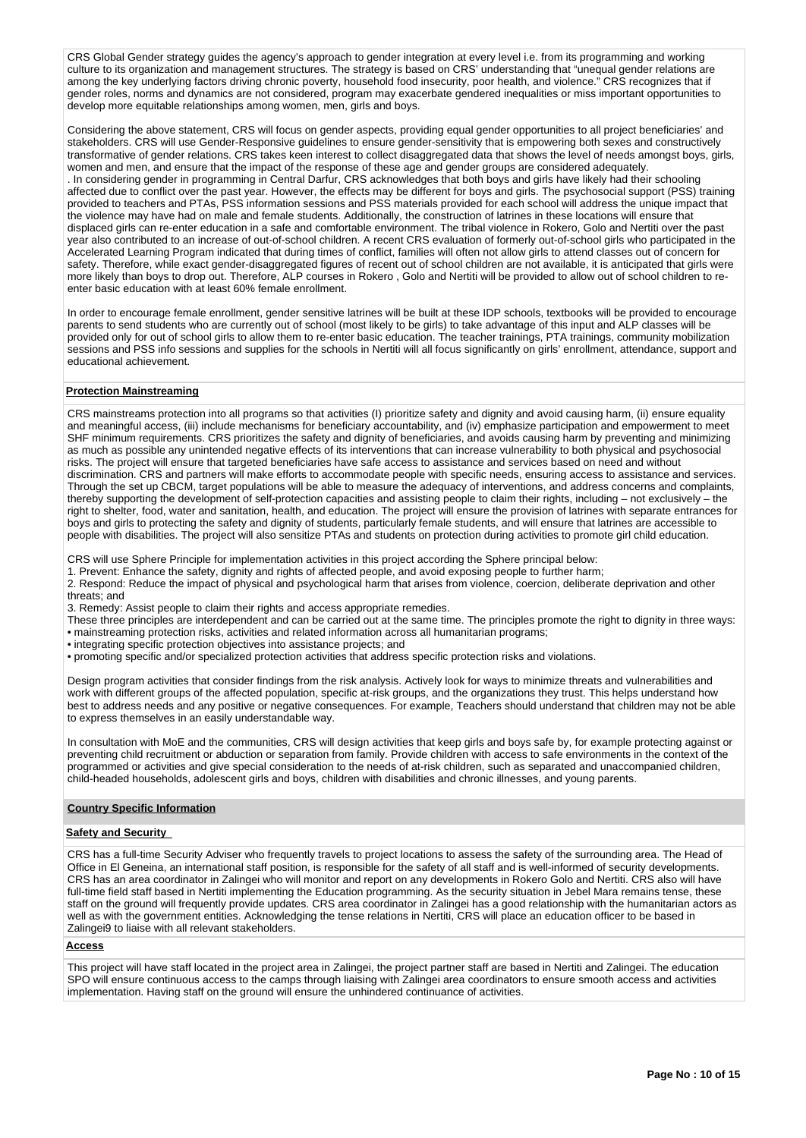CRS Global Gender strategy guides the agency's approach to gender integration at every level i.e. from its programming and working culture to its organization and management structures. The strategy is based on CRS' understanding that "unequal gender relations are among the key underlying factors driving chronic poverty, household food insecurity, poor health, and violence." CRS recognizes that if gender roles, norms and dynamics are not considered, program may exacerbate gendered inequalities or miss important opportunities to develop more equitable relationships among women, men, girls and boys.

Considering the above statement, CRS will focus on gender aspects, providing equal gender opportunities to all project beneficiaries' and stakeholders. CRS will use Gender-Responsive guidelines to ensure gender-sensitivity that is empowering both sexes and constructively transformative of gender relations. CRS takes keen interest to collect disaggregated data that shows the level of needs amongst boys, girls, women and men, and ensure that the impact of the response of these age and gender groups are considered adequately. . In considering gender in programming in Central Darfur, CRS acknowledges that both boys and girls have likely had their schooling affected due to conflict over the past year. However, the effects may be different for boys and girls. The psychosocial support (PSS) training provided to teachers and PTAs, PSS information sessions and PSS materials provided for each school will address the unique impact that the violence may have had on male and female students. Additionally, the construction of latrines in these locations will ensure that displaced girls can re-enter education in a safe and comfortable environment. The tribal violence in Rokero, Golo and Nertiti over the past year also contributed to an increase of out-of-school children. A recent CRS evaluation of formerly out-of-school girls who participated in the Accelerated Learning Program indicated that during times of conflict, families will often not allow girls to attend classes out of concern for safety. Therefore, while exact gender-disaggregated figures of recent out of school children are not available, it is anticipated that girls were more likely than boys to drop out. Therefore, ALP courses in Rokero , Golo and Nertiti will be provided to allow out of school children to reenter basic education with at least 60% female enrollment.

In order to encourage female enrollment, gender sensitive latrines will be built at these IDP schools, textbooks will be provided to encourage parents to send students who are currently out of school (most likely to be girls) to take advantage of this input and ALP classes will be provided only for out of school girls to allow them to re-enter basic education. The teacher trainings, PTA trainings, community mobilization sessions and PSS info sessions and supplies for the schools in Nertiti will all focus significantly on girls' enrollment, attendance, support and educational achievement.

## **Protection Mainstreaming**

CRS mainstreams protection into all programs so that activities (I) prioritize safety and dignity and avoid causing harm, (ii) ensure equality and meaningful access, (iii) include mechanisms for beneficiary accountability, and (iv) emphasize participation and empowerment to meet SHF minimum requirements. CRS prioritizes the safety and dignity of beneficiaries, and avoids causing harm by preventing and minimizing as much as possible any unintended negative effects of its interventions that can increase vulnerability to both physical and psychosocial risks. The project will ensure that targeted beneficiaries have safe access to assistance and services based on need and without discrimination. CRS and partners will make efforts to accommodate people with specific needs, ensuring access to assistance and services. Through the set up CBCM, target populations will be able to measure the adequacy of interventions, and address concerns and complaints, thereby supporting the development of self-protection capacities and assisting people to claim their rights, including – not exclusively – the right to shelter, food, water and sanitation, health, and education. The project will ensure the provision of latrines with separate entrances for boys and girls to protecting the safety and dignity of students, particularly female students, and will ensure that latrines are accessible to people with disabilities. The project will also sensitize PTAs and students on protection during activities to promote girl child education.

CRS will use Sphere Principle for implementation activities in this project according the Sphere principal below:

1. Prevent: Enhance the safety, dignity and rights of affected people, and avoid exposing people to further harm;

2. Respond: Reduce the impact of physical and psychological harm that arises from violence, coercion, deliberate deprivation and other threats; and

3. Remedy: Assist people to claim their rights and access appropriate remedies.

These three principles are interdependent and can be carried out at the same time. The principles promote the right to dignity in three ways: • mainstreaming protection risks, activities and related information across all humanitarian programs;

• integrating specific protection objectives into assistance projects; and

• promoting specific and/or specialized protection activities that address specific protection risks and violations.

Design program activities that consider findings from the risk analysis. Actively look for ways to minimize threats and vulnerabilities and work with different groups of the affected population, specific at-risk groups, and the organizations they trust. This helps understand how best to address needs and any positive or negative consequences. For example, Teachers should understand that children may not be able to express themselves in an easily understandable way.

In consultation with MoE and the communities, CRS will design activities that keep girls and boys safe by, for example protecting against or preventing child recruitment or abduction or separation from family. Provide children with access to safe environments in the context of the programmed or activities and give special consideration to the needs of at-risk children, such as separated and unaccompanied children, child-headed households, adolescent girls and boys, children with disabilities and chronic illnesses, and young parents.

#### **Country Specific Information**

#### **Safety and Security**

CRS has a full-time Security Adviser who frequently travels to project locations to assess the safety of the surrounding area. The Head of Office in El Geneina, an international staff position, is responsible for the safety of all staff and is well-informed of security developments. CRS has an area coordinator in Zalingei who will monitor and report on any developments in Rokero Golo and Nertiti. CRS also will have full-time field staff based in Nertiti implementing the Education programming. As the security situation in Jebel Mara remains tense, these staff on the ground will frequently provide updates. CRS area coordinator in Zalingei has a good relationship with the humanitarian actors as well as with the government entities. Acknowledging the tense relations in Nertiti, CRS will place an education officer to be based in Zalingei9 to liaise with all relevant stakeholders.

#### **Access**

This project will have staff located in the project area in Zalingei, the project partner staff are based in Nertiti and Zalingei. The education SPO will ensure continuous access to the camps through liaising with Zalingei area coordinators to ensure smooth access and activities implementation. Having staff on the ground will ensure the unhindered continuance of activities.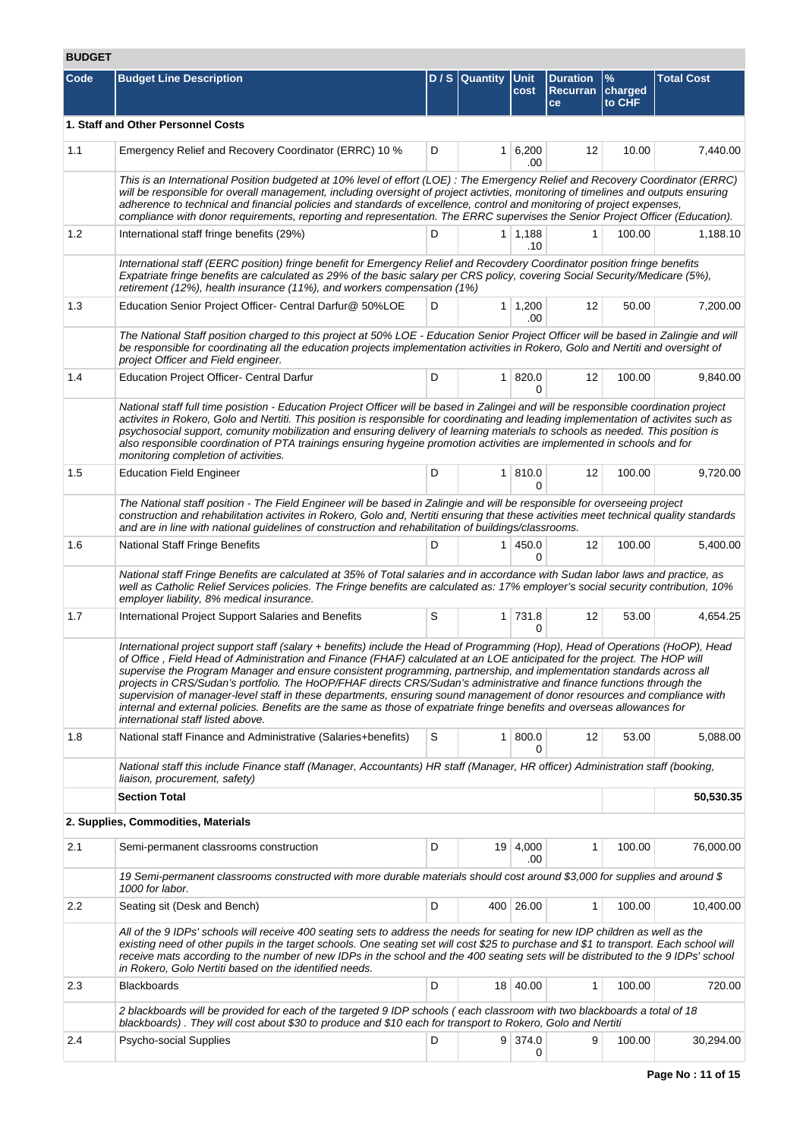# **BUDGET**

| Code | <b>Budget Line Description</b>                                                                                                                                                                                                                                                                                                                                                                                                                                                                                                                                                                                                                                                                                                                                                                              |                                                                                                                                                                                                                                                                                                                                       | D / S Quantity Unit | cost                  | <b>Duration</b><br>Recurran<br>ce | $\frac{9}{6}$<br>charged<br>to CHF | <b>Total Cost</b> |  |  |  |  |  |  |
|------|-------------------------------------------------------------------------------------------------------------------------------------------------------------------------------------------------------------------------------------------------------------------------------------------------------------------------------------------------------------------------------------------------------------------------------------------------------------------------------------------------------------------------------------------------------------------------------------------------------------------------------------------------------------------------------------------------------------------------------------------------------------------------------------------------------------|---------------------------------------------------------------------------------------------------------------------------------------------------------------------------------------------------------------------------------------------------------------------------------------------------------------------------------------|---------------------|-----------------------|-----------------------------------|------------------------------------|-------------------|--|--|--|--|--|--|
|      | 1. Staff and Other Personnel Costs                                                                                                                                                                                                                                                                                                                                                                                                                                                                                                                                                                                                                                                                                                                                                                          |                                                                                                                                                                                                                                                                                                                                       |                     |                       |                                   |                                    |                   |  |  |  |  |  |  |
| 1.1  | Emergency Relief and Recovery Coordinator (ERRC) 10 %                                                                                                                                                                                                                                                                                                                                                                                                                                                                                                                                                                                                                                                                                                                                                       | D                                                                                                                                                                                                                                                                                                                                     |                     | $1 \mid 6,200$<br>.00 | 12                                | 10.00                              | 7,440.00          |  |  |  |  |  |  |
|      | This is an International Position budgeted at 10% level of effort (LOE) : The Emergency Relief and Recovery Coordinator (ERRC)<br>will be responsible for overall management, including oversight of project activties, monitoring of timelines and outputs ensuring<br>adherence to technical and financial policies and standards of excellence, control and monitoring of project expenses,<br>compliance with donor requirements, reporting and representation. The ERRC supervises the Senior Project Officer (Education).                                                                                                                                                                                                                                                                             |                                                                                                                                                                                                                                                                                                                                       |                     |                       |                                   |                                    |                   |  |  |  |  |  |  |
| 1.2  | International staff fringe benefits (29%)                                                                                                                                                                                                                                                                                                                                                                                                                                                                                                                                                                                                                                                                                                                                                                   | D                                                                                                                                                                                                                                                                                                                                     |                     | 1 1,188<br>.10        | 1                                 | 100.00                             | 1,188.10          |  |  |  |  |  |  |
|      |                                                                                                                                                                                                                                                                                                                                                                                                                                                                                                                                                                                                                                                                                                                                                                                                             | International staff (EERC position) fringe benefit for Emergency Relief and Recovdery Coordinator position fringe benefits<br>Expatriate fringe benefits are calculated as 29% of the basic salary per CRS policy, covering Social Security/Medicare (5%),<br>retirement (12%), health insurance (11%), and workers compensation (1%) |                     |                       |                                   |                                    |                   |  |  |  |  |  |  |
| 1.3  | Education Senior Project Officer- Central Darfur@ 50%LOE                                                                                                                                                                                                                                                                                                                                                                                                                                                                                                                                                                                                                                                                                                                                                    | D                                                                                                                                                                                                                                                                                                                                     |                     | $1 \mid 1,200$<br>.00 | 12                                | 50.00                              | 7,200.00          |  |  |  |  |  |  |
|      | The National Staff position charged to this project at 50% LOE - Education Senior Project Officer will be based in Zalingie and will<br>be responsible for coordinating all the education projects implementation activities in Rokero, Golo and Nertiti and oversight of<br>project Officer and Field engineer.                                                                                                                                                                                                                                                                                                                                                                                                                                                                                            |                                                                                                                                                                                                                                                                                                                                       |                     |                       |                                   |                                    |                   |  |  |  |  |  |  |
| 1.4  | <b>Education Project Officer- Central Darfur</b>                                                                                                                                                                                                                                                                                                                                                                                                                                                                                                                                                                                                                                                                                                                                                            | D                                                                                                                                                                                                                                                                                                                                     |                     | 1   820.0<br>0        | 12                                | 100.00                             | 9,840.00          |  |  |  |  |  |  |
|      | National staff full time posistion - Education Project Officer will be based in Zalingei and will be responsible coordination project<br>activites in Rokero, Golo and Nertiti. This position is responsible for coordinating and leading implementation of activites such as<br>psychosocial support, comunity mobilization and ensuring delivery of learning materials to schools as needed. This position is<br>also responsible coordination of PTA trainings ensuring hygeine promotion activities are implemented in schools and for<br>monitoring completion of activities.                                                                                                                                                                                                                          |                                                                                                                                                                                                                                                                                                                                       |                     |                       |                                   |                                    |                   |  |  |  |  |  |  |
| 1.5  | <b>Education Field Engineer</b>                                                                                                                                                                                                                                                                                                                                                                                                                                                                                                                                                                                                                                                                                                                                                                             | D                                                                                                                                                                                                                                                                                                                                     |                     | 1   810.0<br>0        | 12                                | 100.00                             | 9,720.00          |  |  |  |  |  |  |
|      | The National staff position - The Field Engineer will be based in Zalingie and will be responsible for overseeing project<br>construction and rehabilitation activites in Rokero, Golo and, Nertiti ensuring that these activities meet technical quality standards<br>and are in line with national guidelines of construction and rehabilitation of buildings/classrooms.                                                                                                                                                                                                                                                                                                                                                                                                                                 |                                                                                                                                                                                                                                                                                                                                       |                     |                       |                                   |                                    |                   |  |  |  |  |  |  |
| 1.6  | <b>National Staff Fringe Benefits</b>                                                                                                                                                                                                                                                                                                                                                                                                                                                                                                                                                                                                                                                                                                                                                                       | D                                                                                                                                                                                                                                                                                                                                     |                     | 1 450.0<br>0          | 12                                | 100.00                             | 5,400.00          |  |  |  |  |  |  |
|      | National staff Fringe Benefits are calculated at 35% of Total salaries and in accordance with Sudan labor laws and practice, as<br>well as Catholic Relief Services policies. The Fringe benefits are calculated as: 17% employer's social security contribution, 10%<br>employer liability, 8% medical insurance.                                                                                                                                                                                                                                                                                                                                                                                                                                                                                          |                                                                                                                                                                                                                                                                                                                                       |                     |                       |                                   |                                    |                   |  |  |  |  |  |  |
| 1.7  | International Project Support Salaries and Benefits                                                                                                                                                                                                                                                                                                                                                                                                                                                                                                                                                                                                                                                                                                                                                         | S                                                                                                                                                                                                                                                                                                                                     |                     | 1 731.8<br>$\Omega$   | 12                                | 53.00                              | 4,654.25          |  |  |  |  |  |  |
|      | International project support staff (salary + benefits) include the Head of Programming (Hop), Head of Operations (HoOP), Head<br>of Office, Field Head of Administration and Finance (FHAF) calculated at an LOE anticipated for the project. The HOP will<br>supervise the Program Manager and ensure consistent programming, partnership, and implementation standards across all<br>projects in CRS/Sudan's portfolio. The HoOP/FHAF directs CRS/Sudan's administrative and finance functions through the<br>supervision of manager-level staff in these departments, ensuring sound management of donor resources and compliance with<br>internal and external policies. Benefits are the same as those of expatriate fringe benefits and overseas allowances for<br>international staff listed above. |                                                                                                                                                                                                                                                                                                                                       |                     |                       |                                   |                                    |                   |  |  |  |  |  |  |
| 1.8  | National staff Finance and Administrative (Salaries+benefits)                                                                                                                                                                                                                                                                                                                                                                                                                                                                                                                                                                                                                                                                                                                                               | $\mathbb S$                                                                                                                                                                                                                                                                                                                           | 1 <sup>1</sup>      | 800.0<br>0            | 12                                | 53.00                              | 5,088.00          |  |  |  |  |  |  |
|      | National staff this include Finance staff (Manager, Accountants) HR staff (Manager, HR officer) Administration staff (booking,<br>liaison, procurement, safety)                                                                                                                                                                                                                                                                                                                                                                                                                                                                                                                                                                                                                                             |                                                                                                                                                                                                                                                                                                                                       |                     |                       |                                   |                                    |                   |  |  |  |  |  |  |
|      | <b>Section Total</b>                                                                                                                                                                                                                                                                                                                                                                                                                                                                                                                                                                                                                                                                                                                                                                                        |                                                                                                                                                                                                                                                                                                                                       |                     |                       |                                   |                                    | 50,530.35         |  |  |  |  |  |  |
|      | 2. Supplies, Commodities, Materials                                                                                                                                                                                                                                                                                                                                                                                                                                                                                                                                                                                                                                                                                                                                                                         |                                                                                                                                                                                                                                                                                                                                       |                     |                       |                                   |                                    |                   |  |  |  |  |  |  |
| 2.1  | Semi-permanent classrooms construction                                                                                                                                                                                                                                                                                                                                                                                                                                                                                                                                                                                                                                                                                                                                                                      | D                                                                                                                                                                                                                                                                                                                                     |                     | 19 4,000<br>.00       | 1                                 | 100.00                             | 76,000.00         |  |  |  |  |  |  |
|      | 19 Semi-permanent classrooms constructed with more durable materials should cost around \$3,000 for supplies and around \$<br>1000 for labor.                                                                                                                                                                                                                                                                                                                                                                                                                                                                                                                                                                                                                                                               |                                                                                                                                                                                                                                                                                                                                       |                     |                       |                                   |                                    |                   |  |  |  |  |  |  |
| 2.2  | Seating sit (Desk and Bench)                                                                                                                                                                                                                                                                                                                                                                                                                                                                                                                                                                                                                                                                                                                                                                                | D                                                                                                                                                                                                                                                                                                                                     |                     | 400 26.00             | 1                                 | 100.00                             | 10,400.00         |  |  |  |  |  |  |
|      | All of the 9 IDPs' schools will receive 400 seating sets to address the needs for seating for new IDP children as well as the<br>existing need of other pupils in the target schools. One seating set will cost \$25 to purchase and \$1 to transport. Each school will<br>receive mats according to the number of new IDPs in the school and the 400 seating sets will be distributed to the 9 IDPs' school<br>in Rokero, Golo Nertiti based on the identified needs.                                                                                                                                                                                                                                                                                                                                      |                                                                                                                                                                                                                                                                                                                                       |                     |                       |                                   |                                    |                   |  |  |  |  |  |  |
| 2.3  | <b>Blackboards</b>                                                                                                                                                                                                                                                                                                                                                                                                                                                                                                                                                                                                                                                                                                                                                                                          | D                                                                                                                                                                                                                                                                                                                                     |                     | 18 40.00              | 1                                 | 100.00                             | 720.00            |  |  |  |  |  |  |
|      | 2 blackboards will be provided for each of the targeted 9 IDP schools (each classroom with two blackboards a total of 18<br>blackboards). They will cost about \$30 to produce and \$10 each for transport to Rokero, Golo and Nertiti                                                                                                                                                                                                                                                                                                                                                                                                                                                                                                                                                                      |                                                                                                                                                                                                                                                                                                                                       |                     |                       |                                   |                                    |                   |  |  |  |  |  |  |
| 2.4  | Psycho-social Supplies                                                                                                                                                                                                                                                                                                                                                                                                                                                                                                                                                                                                                                                                                                                                                                                      | D                                                                                                                                                                                                                                                                                                                                     |                     | 9 374.0<br>0          | 9                                 | 100.00                             | 30,294.00         |  |  |  |  |  |  |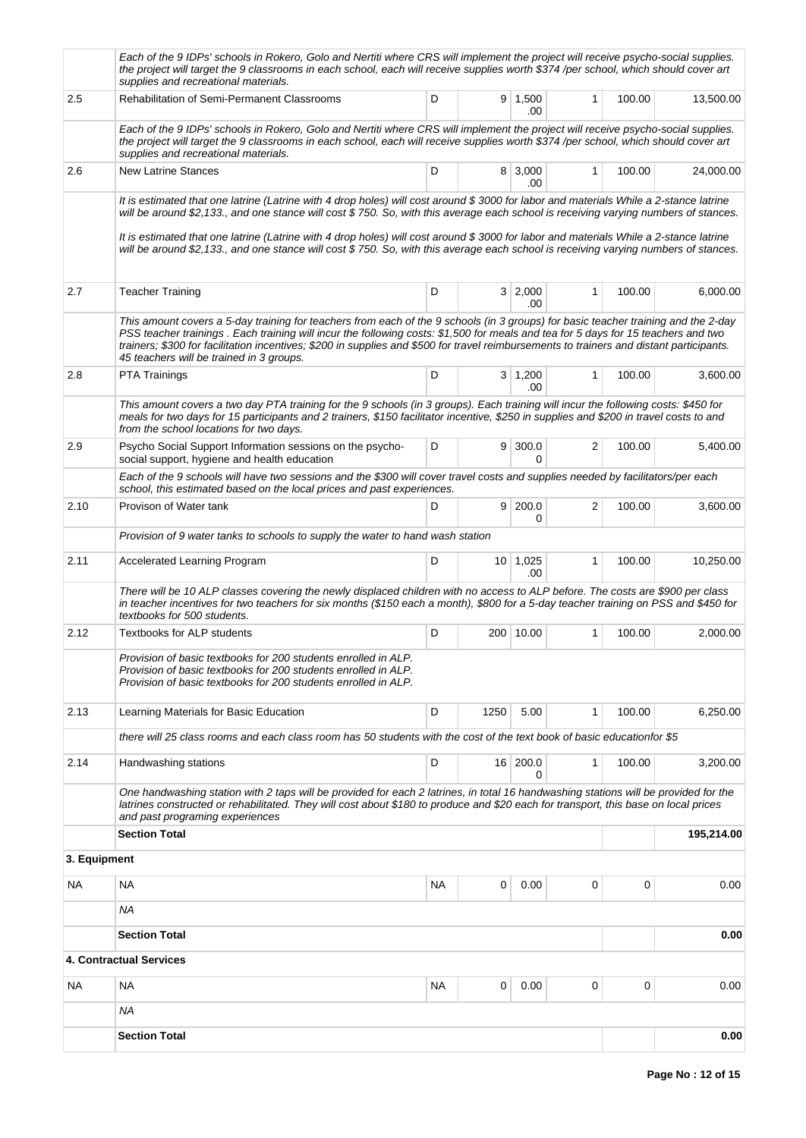|              | Each of the 9 IDPs' schools in Rokero, Golo and Nertiti where CRS will implement the project will receive psycho-social supplies.<br>the project will target the 9 classrooms in each school, each will receive supplies worth \$374/per school, which should cover art<br>supplies and recreational materials.                                                                                                                                                                                                                                              |           |      |                        |                |        |            |
|--------------|--------------------------------------------------------------------------------------------------------------------------------------------------------------------------------------------------------------------------------------------------------------------------------------------------------------------------------------------------------------------------------------------------------------------------------------------------------------------------------------------------------------------------------------------------------------|-----------|------|------------------------|----------------|--------|------------|
| 2.5          | Rehabilitation of Semi-Permanent Classrooms                                                                                                                                                                                                                                                                                                                                                                                                                                                                                                                  | D         |      | $9 \mid 1,500$<br>.00  | 1              | 100.00 | 13,500.00  |
|              | Each of the 9 IDPs' schools in Rokero, Golo and Nertiti where CRS will implement the project will receive psycho-social supplies.<br>the project will target the 9 classrooms in each school, each will receive supplies worth \$374 /per school, which should cover art<br>supplies and recreational materials.                                                                                                                                                                                                                                             |           |      |                        |                |        |            |
| 2.6          | <b>New Latrine Stances</b>                                                                                                                                                                                                                                                                                                                                                                                                                                                                                                                                   | D         |      | $8 \mid 3,000$<br>.00  | $\mathbf 1$    | 100.00 | 24,000.00  |
|              | It is estimated that one latrine (Latrine with 4 drop holes) will cost around \$3000 for labor and materials While a 2-stance latrine<br>will be around \$2,133., and one stance will cost \$750. So, with this average each school is receiving varying numbers of stances.<br>It is estimated that one latrine (Latrine with 4 drop holes) will cost around \$3000 for labor and materials While a 2-stance latrine<br>will be around \$2,133., and one stance will cost \$750. So, with this average each school is receiving varying numbers of stances. |           |      |                        |                |        |            |
| 2.7          | <b>Teacher Training</b>                                                                                                                                                                                                                                                                                                                                                                                                                                                                                                                                      | D         |      | 3 2,000<br>.00         | $\mathbf{1}$   | 100.00 | 6,000.00   |
|              | This amount covers a 5-day training for teachers from each of the 9 schools (in 3 groups) for basic teacher training and the 2-day<br>PSS teacher trainings. Each training will incur the following costs: \$1,500 for meals and tea for 5 days for 15 teachers and two<br>trainers; \$300 for facilitation incentives; \$200 in supplies and \$500 for travel reimbursements to trainers and distant participants.<br>45 teachers will be trained in 3 groups.                                                                                              |           |      |                        |                |        |            |
| 2.8          | PTA Trainings                                                                                                                                                                                                                                                                                                                                                                                                                                                                                                                                                | D         |      | $3 \mid 1,200$<br>.00  | 1              | 100.00 | 3,600.00   |
|              | This amount covers a two day PTA training for the 9 schools (in 3 groups). Each training will incur the following costs: \$450 for<br>meals for two days for 15 participants and 2 trainers, \$150 facilitator incentive, \$250 in supplies and \$200 in travel costs to and<br>from the school locations for two days.                                                                                                                                                                                                                                      |           |      |                        |                |        |            |
| 2.9          | Psycho Social Support Information sessions on the psycho-<br>social support, hygiene and health education                                                                                                                                                                                                                                                                                                                                                                                                                                                    | D         |      | 9   300.0<br>0         | $\overline{2}$ | 100.00 | 5,400.00   |
|              | Each of the 9 schools will have two sessions and the \$300 will cover travel costs and supplies needed by facilitators/per each<br>school, this estimated based on the local prices and past experiences.                                                                                                                                                                                                                                                                                                                                                    |           |      |                        |                |        |            |
| 2.10         | Provison of Water tank                                                                                                                                                                                                                                                                                                                                                                                                                                                                                                                                       | D         | 9    | 200.0<br>0             | 2              | 100.00 | 3,600.00   |
|              | Provision of 9 water tanks to schools to supply the water to hand wash station                                                                                                                                                                                                                                                                                                                                                                                                                                                                               |           |      |                        |                |        |            |
| 2.11         | Accelerated Learning Program                                                                                                                                                                                                                                                                                                                                                                                                                                                                                                                                 | D         |      | $10 \mid 1,025$<br>.00 | 1              | 100.00 | 10,250.00  |
|              | There will be 10 ALP classes covering the newly displaced children with no access to ALP before. The costs are \$900 per class<br>in teacher incentives for two teachers for six months (\$150 each a month), \$800 for a 5-day teacher training on PSS and \$450 for<br>textbooks for 500 students.                                                                                                                                                                                                                                                         |           |      |                        |                |        |            |
| 2.12         | Textbooks for ALP students                                                                                                                                                                                                                                                                                                                                                                                                                                                                                                                                   | D         |      | 200 10.00              | 1              | 100.00 | 2,000.00   |
|              | Provision of basic textbooks for 200 students enrolled in ALP.<br>Provision of basic textbooks for 200 students enrolled in ALP.<br>Provision of basic textbooks for 200 students enrolled in ALP.                                                                                                                                                                                                                                                                                                                                                           |           |      |                        |                |        |            |
| 2.13         | Learning Materials for Basic Education                                                                                                                                                                                                                                                                                                                                                                                                                                                                                                                       | D         | 1250 | 5.00                   | 1              | 100.00 | 6,250.00   |
|              | there will 25 class rooms and each class room has 50 students with the cost of the text book of basic educationfor \$5                                                                                                                                                                                                                                                                                                                                                                                                                                       |           |      |                        |                |        |            |
| 2.14         | Handwashing stations                                                                                                                                                                                                                                                                                                                                                                                                                                                                                                                                         | D         |      | 16 200.0<br>0          | 1              | 100.00 | 3,200.00   |
|              | One handwashing station with 2 taps will be provided for each 2 latrines, in total 16 handwashing stations will be provided for the<br>latrines constructed or rehabilitated. They will cost about \$180 to produce and \$20 each for transport, this base on local prices<br>and past programing experiences                                                                                                                                                                                                                                                |           |      |                        |                |        |            |
|              | <b>Section Total</b>                                                                                                                                                                                                                                                                                                                                                                                                                                                                                                                                         |           |      |                        |                |        | 195,214.00 |
| 3. Equipment |                                                                                                                                                                                                                                                                                                                                                                                                                                                                                                                                                              |           |      |                        |                |        |            |
| NA.          | <b>NA</b>                                                                                                                                                                                                                                                                                                                                                                                                                                                                                                                                                    | <b>NA</b> | 0    | 0.00                   | 0              | 0      | 0.00       |
|              | ΝA                                                                                                                                                                                                                                                                                                                                                                                                                                                                                                                                                           |           |      |                        |                |        |            |
|              | <b>Section Total</b>                                                                                                                                                                                                                                                                                                                                                                                                                                                                                                                                         |           |      |                        |                |        | 0.00       |
|              | 4. Contractual Services                                                                                                                                                                                                                                                                                                                                                                                                                                                                                                                                      |           |      |                        |                |        |            |
| <b>NA</b>    | NA                                                                                                                                                                                                                                                                                                                                                                                                                                                                                                                                                           | <b>NA</b> | 0    | 0.00                   | 0              | 0      | 0.00       |
|              | ΝA                                                                                                                                                                                                                                                                                                                                                                                                                                                                                                                                                           |           |      |                        |                |        |            |
|              | <b>Section Total</b>                                                                                                                                                                                                                                                                                                                                                                                                                                                                                                                                         |           |      |                        |                |        | 0.00       |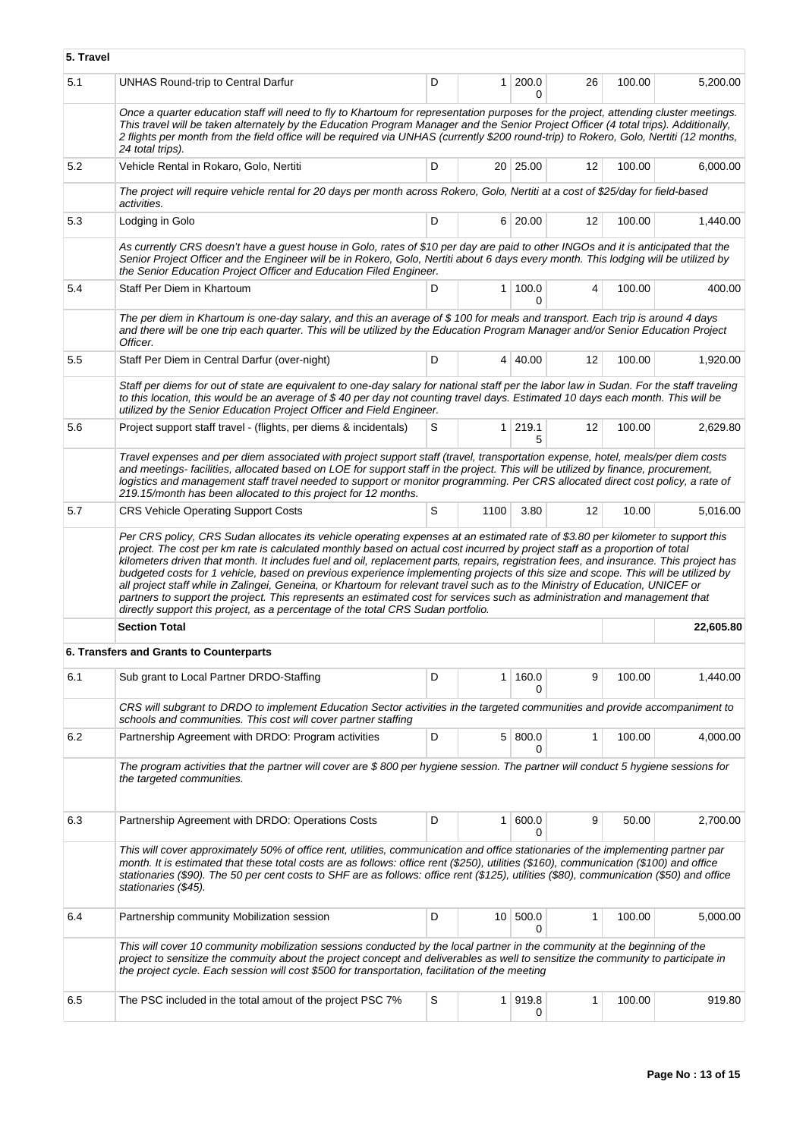| 5. Travel |                                                                                                                                                                                                                                                                                                                                                                                                                                                                                                                                                                                                                                                                                                                                                                                                                                                                                                  |   |                 |                     |    |        |           |  |
|-----------|--------------------------------------------------------------------------------------------------------------------------------------------------------------------------------------------------------------------------------------------------------------------------------------------------------------------------------------------------------------------------------------------------------------------------------------------------------------------------------------------------------------------------------------------------------------------------------------------------------------------------------------------------------------------------------------------------------------------------------------------------------------------------------------------------------------------------------------------------------------------------------------------------|---|-----------------|---------------------|----|--------|-----------|--|
| 5.1       | UNHAS Round-trip to Central Darfur                                                                                                                                                                                                                                                                                                                                                                                                                                                                                                                                                                                                                                                                                                                                                                                                                                                               | D | 1 <sup>1</sup>  | 200.0               | 26 | 100.00 | 5,200.00  |  |
|           | Once a quarter education staff will need to fly to Khartoum for representation purposes for the project, attending cluster meetings.<br>This travel will be taken alternately by the Education Program Manager and the Senior Project Officer (4 total trips). Additionally,<br>2 flights per month from the field office will be required via UNHAS (currently \$200 round-trip) to Rokero, Golo, Nertiti (12 months,<br>24 total trips).                                                                                                                                                                                                                                                                                                                                                                                                                                                       |   |                 |                     |    |        |           |  |
| 5.2       | Vehicle Rental in Rokaro, Golo, Nertiti                                                                                                                                                                                                                                                                                                                                                                                                                                                                                                                                                                                                                                                                                                                                                                                                                                                          | D |                 | 20 25.00            | 12 | 100.00 | 6,000.00  |  |
|           | The project will require vehicle rental for 20 days per month across Rokero, Golo, Nertiti at a cost of \$25/day for field-based<br>activities.                                                                                                                                                                                                                                                                                                                                                                                                                                                                                                                                                                                                                                                                                                                                                  |   |                 |                     |    |        |           |  |
| 5.3       | Lodging in Golo                                                                                                                                                                                                                                                                                                                                                                                                                                                                                                                                                                                                                                                                                                                                                                                                                                                                                  | D |                 | 6 20.00             | 12 | 100.00 | 1,440.00  |  |
|           | As currently CRS doesn't have a guest house in Golo, rates of \$10 per day are paid to other INGOs and it is anticipated that the<br>Senior Project Officer and the Engineer will be in Rokero, Golo, Nertiti about 6 days every month. This lodging will be utilized by<br>the Senior Education Project Officer and Education Filed Engineer.                                                                                                                                                                                                                                                                                                                                                                                                                                                                                                                                                   |   |                 |                     |    |        |           |  |
| 5.4       | Staff Per Diem in Khartoum                                                                                                                                                                                                                                                                                                                                                                                                                                                                                                                                                                                                                                                                                                                                                                                                                                                                       | D |                 | 1   100.0<br>0      | 4  | 100.00 | 400.00    |  |
|           | The per diem in Khartoum is one-day salary, and this an average of \$100 for meals and transport. Each trip is around 4 days<br>and there will be one trip each quarter. This will be utilized by the Education Program Manager and/or Senior Education Project<br>Officer.                                                                                                                                                                                                                                                                                                                                                                                                                                                                                                                                                                                                                      |   |                 |                     |    |        |           |  |
| $5.5\,$   | Staff Per Diem in Central Darfur (over-night)                                                                                                                                                                                                                                                                                                                                                                                                                                                                                                                                                                                                                                                                                                                                                                                                                                                    | D |                 | 4 40.00             | 12 | 100.00 | 1,920.00  |  |
|           | Staff per diems for out of state are equivalent to one-day salary for national staff per the labor law in Sudan. For the staff traveling<br>to this location, this would be an average of \$40 per day not counting travel days. Estimated 10 days each month. This will be<br>utilized by the Senior Education Project Officer and Field Engineer.                                                                                                                                                                                                                                                                                                                                                                                                                                                                                                                                              |   |                 |                     |    |        |           |  |
| 5.6       | Project support staff travel - (flights, per diems & incidentals)                                                                                                                                                                                                                                                                                                                                                                                                                                                                                                                                                                                                                                                                                                                                                                                                                                | S |                 | $1 \mid 219.1$<br>5 | 12 | 100.00 | 2,629.80  |  |
|           | Travel expenses and per diem associated with project support staff (travel, transportation expense, hotel, meals/per diem costs<br>and meetings-facilities, allocated based on LOE for support staff in the project. This will be utilized by finance, procurement,<br>logistics and management staff travel needed to support or monitor programming. Per CRS allocated direct cost policy, a rate of<br>219.15/month has been allocated to this project for 12 months.                                                                                                                                                                                                                                                                                                                                                                                                                         |   |                 |                     |    |        |           |  |
| 5.7       | <b>CRS Vehicle Operating Support Costs</b>                                                                                                                                                                                                                                                                                                                                                                                                                                                                                                                                                                                                                                                                                                                                                                                                                                                       | S | 1100            | 3.80                | 12 | 10.00  | 5,016.00  |  |
|           | Per CRS policy, CRS Sudan allocates its vehicle operating expenses at an estimated rate of \$3.80 per kilometer to support this<br>project. The cost per km rate is calculated monthly based on actual cost incurred by project staff as a proportion of total<br>kilometers driven that month. It includes fuel and oil, replacement parts, repairs, registration fees, and insurance. This project has<br>budgeted costs for 1 vehicle, based on previous experience implementing projects of this size and scope. This will be utilized by<br>all project staff while in Zalingei, Geneina, or Khartoum for relevant travel such as to the Ministry of Education, UNICEF or<br>partners to support the project. This represents an estimated cost for services such as administration and management that<br>directly support this project, as a percentage of the total CRS Sudan portfolio. |   |                 |                     |    |        |           |  |
|           | <b>Section Total</b>                                                                                                                                                                                                                                                                                                                                                                                                                                                                                                                                                                                                                                                                                                                                                                                                                                                                             |   |                 |                     |    |        | 22,605.80 |  |
|           | 6. Transfers and Grants to Counterparts                                                                                                                                                                                                                                                                                                                                                                                                                                                                                                                                                                                                                                                                                                                                                                                                                                                          |   |                 |                     |    |        |           |  |
| 6.1       | Sub grant to Local Partner DRDO-Staffing                                                                                                                                                                                                                                                                                                                                                                                                                                                                                                                                                                                                                                                                                                                                                                                                                                                         | D | 1 <sup>1</sup>  | 160.0               | 9  | 100.00 | 1,440.00  |  |
|           | CRS will subgrant to DRDO to implement Education Sector activities in the targeted communities and provide accompaniment to<br>schools and communities. This cost will cover partner staffing                                                                                                                                                                                                                                                                                                                                                                                                                                                                                                                                                                                                                                                                                                    |   |                 |                     |    |        |           |  |
| 6.2       | Partnership Agreement with DRDO: Program activities                                                                                                                                                                                                                                                                                                                                                                                                                                                                                                                                                                                                                                                                                                                                                                                                                                              | D |                 | 5 800.0<br>0        | 1  | 100.00 | 4,000.00  |  |
|           | The program activities that the partner will cover are \$800 per hygiene session. The partner will conduct 5 hygiene sessions for<br>the targeted communities.                                                                                                                                                                                                                                                                                                                                                                                                                                                                                                                                                                                                                                                                                                                                   |   |                 |                     |    |        |           |  |
| 6.3       | Partnership Agreement with DRDO: Operations Costs                                                                                                                                                                                                                                                                                                                                                                                                                                                                                                                                                                                                                                                                                                                                                                                                                                                | D | 1               | 600.0<br>0          | 9  | 50.00  | 2,700.00  |  |
|           | This will cover approximately 50% of office rent, utilities, communication and office stationaries of the implementing partner par<br>month. It is estimated that these total costs are as follows: office rent (\$250), utilities (\$160), communication (\$100) and office<br>stationaries (\$90). The 50 per cent costs to SHF are as follows: office rent (\$125), utilities (\$80), communication (\$50) and office<br>stationaries (\$45).                                                                                                                                                                                                                                                                                                                                                                                                                                                 |   |                 |                     |    |        |           |  |
| 6.4       | Partnership community Mobilization session                                                                                                                                                                                                                                                                                                                                                                                                                                                                                                                                                                                                                                                                                                                                                                                                                                                       | D | 10 <sup>1</sup> | 500.0<br>0          | 1  | 100.00 | 5,000.00  |  |
|           | This will cover 10 community mobilization sessions conducted by the local partner in the community at the beginning of the<br>project to sensitize the commuity about the project concept and deliverables as well to sensitize the community to participate in<br>the project cycle. Each session will cost \$500 for transportation, facilitation of the meeting                                                                                                                                                                                                                                                                                                                                                                                                                                                                                                                               |   |                 |                     |    |        |           |  |
| 6.5       | The PSC included in the total amout of the project PSC 7%                                                                                                                                                                                                                                                                                                                                                                                                                                                                                                                                                                                                                                                                                                                                                                                                                                        | S |                 | 1 919.8<br>0        | 1  | 100.00 | 919.80    |  |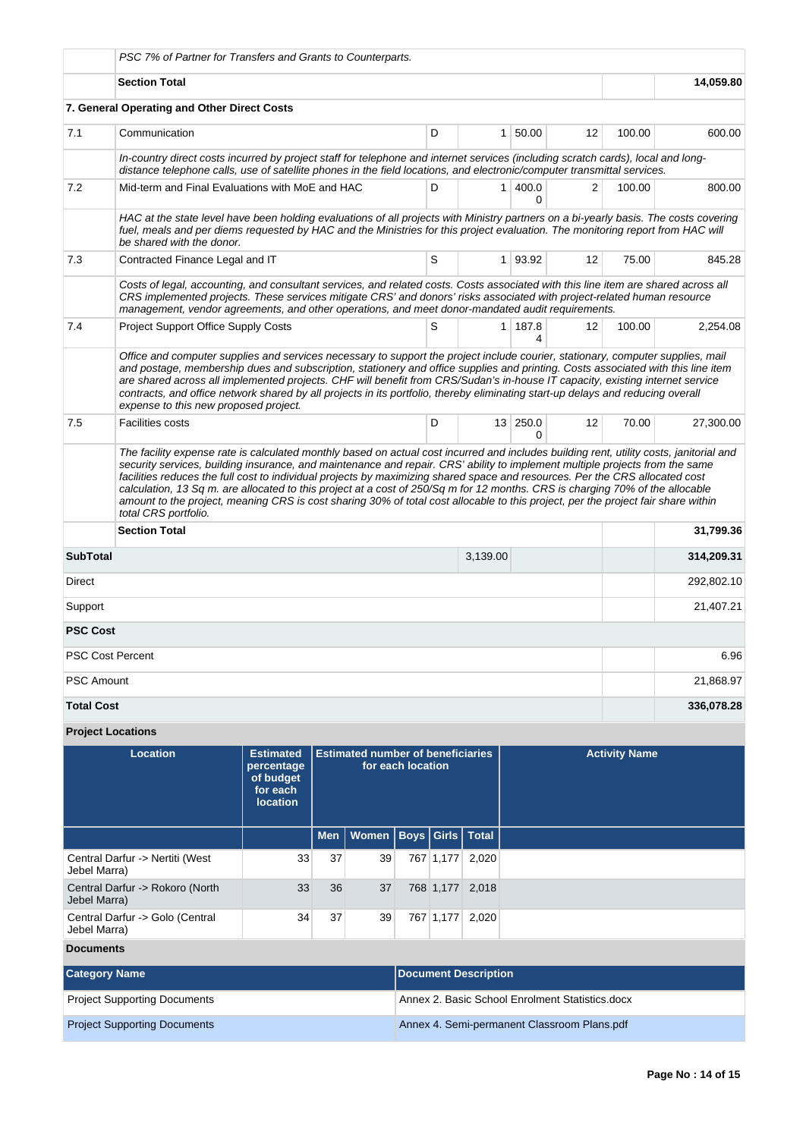|                          | PSC 7% of Partner for Transfers and Grants to Counterparts.                                                                                                                                                                                                                                                                                                                                                                                                                                                                                                                                                                                                                                           |   |          |                     |                   |        |            |  |
|--------------------------|-------------------------------------------------------------------------------------------------------------------------------------------------------------------------------------------------------------------------------------------------------------------------------------------------------------------------------------------------------------------------------------------------------------------------------------------------------------------------------------------------------------------------------------------------------------------------------------------------------------------------------------------------------------------------------------------------------|---|----------|---------------------|-------------------|--------|------------|--|
|                          | <b>Section Total</b>                                                                                                                                                                                                                                                                                                                                                                                                                                                                                                                                                                                                                                                                                  |   |          |                     |                   |        | 14,059.80  |  |
|                          | 7. General Operating and Other Direct Costs                                                                                                                                                                                                                                                                                                                                                                                                                                                                                                                                                                                                                                                           |   |          |                     |                   |        |            |  |
| 7.1                      | Communication                                                                                                                                                                                                                                                                                                                                                                                                                                                                                                                                                                                                                                                                                         | D |          | $1 \, 50.00$        | 12                | 100.00 | 600.00     |  |
|                          | In-country direct costs incurred by project staff for telephone and internet services (including scratch cards), local and long-<br>distance telephone calls, use of satellite phones in the field locations, and electronic/computer transmittal services.                                                                                                                                                                                                                                                                                                                                                                                                                                           |   |          |                     |                   |        |            |  |
| 7.2                      | Mid-term and Final Evaluations with MoE and HAC                                                                                                                                                                                                                                                                                                                                                                                                                                                                                                                                                                                                                                                       | D |          | 1 400.0<br>$\Omega$ | $\overline{2}$    | 100.00 | 800.00     |  |
|                          | HAC at the state level have been holding evaluations of all projects with Ministry partners on a bi-yearly basis. The costs covering<br>fuel, meals and per diems requested by HAC and the Ministries for this project evaluation. The monitoring report from HAC will<br>be shared with the donor.                                                                                                                                                                                                                                                                                                                                                                                                   |   |          |                     |                   |        |            |  |
| 7.3                      | Contracted Finance Legal and IT                                                                                                                                                                                                                                                                                                                                                                                                                                                                                                                                                                                                                                                                       | S |          | 1 93.92             | 12                | 75.00  | 845.28     |  |
|                          | Costs of legal, accounting, and consultant services, and related costs. Costs associated with this line item are shared across all<br>CRS implemented projects. These services mitigate CRS' and donors' risks associated with project-related human resource<br>management, vendor agreements, and other operations, and meet donor-mandated audit requirements.                                                                                                                                                                                                                                                                                                                                     |   |          |                     |                   |        |            |  |
| 7.4                      | <b>Project Support Office Supply Costs</b>                                                                                                                                                                                                                                                                                                                                                                                                                                                                                                                                                                                                                                                            | S |          | $1 \mid 187.8$<br>4 | 12                | 100.00 | 2,254.08   |  |
|                          | Office and computer supplies and services necessary to support the project include courier, stationary, computer supplies, mail<br>and postage, membership dues and subscription, stationery and office supplies and printing. Costs associated with this line item<br>are shared across all implemented projects. CHF will benefit from CRS/Sudan's in-house IT capacity, existing internet service<br>contracts, and office network shared by all projects in its portfolio, thereby eliminating start-up delays and reducing overall<br>expense to this new proposed project.                                                                                                                      |   |          |                     |                   |        |            |  |
| 7.5                      | <b>Facilities costs</b>                                                                                                                                                                                                                                                                                                                                                                                                                                                                                                                                                                                                                                                                               | D |          | 13 250.0<br>0       | $12 \overline{ }$ | 70.00  | 27,300.00  |  |
|                          | The facility expense rate is calculated monthly based on actual cost incurred and includes building rent, utility costs, janitorial and<br>security services, building insurance, and maintenance and repair. CRS' ability to implement multiple projects from the same<br>facilities reduces the full cost to individual projects by maximizing shared space and resources. Per the CRS allocated cost<br>calculation, 13 Sq m. are allocated to this project at a cost of 250/Sq m for 12 months. CRS is charging 70% of the allocable<br>amount to the project, meaning CRS is cost sharing 30% of total cost allocable to this project, per the project fair share within<br>total CRS portfolio. |   |          |                     |                   |        |            |  |
|                          | <b>Section Total</b>                                                                                                                                                                                                                                                                                                                                                                                                                                                                                                                                                                                                                                                                                  |   |          |                     |                   |        | 31,799.36  |  |
| <b>SubTotal</b>          |                                                                                                                                                                                                                                                                                                                                                                                                                                                                                                                                                                                                                                                                                                       |   | 3,139.00 |                     |                   |        | 314,209.31 |  |
| Direct                   |                                                                                                                                                                                                                                                                                                                                                                                                                                                                                                                                                                                                                                                                                                       |   |          |                     |                   |        | 292,802.10 |  |
| Support                  |                                                                                                                                                                                                                                                                                                                                                                                                                                                                                                                                                                                                                                                                                                       |   |          |                     |                   |        | 21,407.21  |  |
| <b>PSC Cost</b>          |                                                                                                                                                                                                                                                                                                                                                                                                                                                                                                                                                                                                                                                                                                       |   |          |                     |                   |        |            |  |
| <b>PSC Cost Percent</b>  |                                                                                                                                                                                                                                                                                                                                                                                                                                                                                                                                                                                                                                                                                                       |   |          |                     |                   |        | 6.96       |  |
| <b>PSC Amount</b>        |                                                                                                                                                                                                                                                                                                                                                                                                                                                                                                                                                                                                                                                                                                       |   |          |                     |                   |        | 21,868.97  |  |
| <b>Total Cost</b>        |                                                                                                                                                                                                                                                                                                                                                                                                                                                                                                                                                                                                                                                                                                       |   |          |                     |                   |        | 336,078.28 |  |
| <b>Project Locations</b> |                                                                                                                                                                                                                                                                                                                                                                                                                                                                                                                                                                                                                                                                                                       |   |          |                     |                   |        |            |  |

| <b>Location</b>                                 | <b>Estimated</b><br>percentage<br>of budget<br>for each<br><b>location</b> | <b>Estimated number of beneficiaries</b><br>for each location |                                    |  |                             |                 | <b>Activity Name</b> |  |  |
|-------------------------------------------------|----------------------------------------------------------------------------|---------------------------------------------------------------|------------------------------------|--|-----------------------------|-----------------|----------------------|--|--|
|                                                 |                                                                            |                                                               | Men   Women   Boys   Girls   Total |  |                             |                 |                      |  |  |
| Central Darfur -> Nertiti (West<br>Jebel Marra) | 33                                                                         | 37                                                            | 39                                 |  | 767 1,177                   | 2,020           |                      |  |  |
| Central Darfur -> Rokoro (North<br>Jebel Marra) | 33                                                                         | 36                                                            | 37                                 |  |                             | 768 1,177 2,018 |                      |  |  |
| Central Darfur -> Golo (Central<br>Jebel Marra) | 34                                                                         | 37                                                            | 39                                 |  | 767 1,177                   | 2,020           |                      |  |  |
| <b>Documents</b>                                |                                                                            |                                                               |                                    |  |                             |                 |                      |  |  |
| <b>Category Name</b>                            |                                                                            |                                                               |                                    |  | <b>Document Description</b> |                 |                      |  |  |

| <b>Category Name</b>                | Document Description                            |
|-------------------------------------|-------------------------------------------------|
| <b>Project Supporting Documents</b> | Annex 2. Basic School Enrolment Statistics.docx |
| <b>Project Supporting Documents</b> | Annex 4. Semi-permanent Classroom Plans.pdf     |